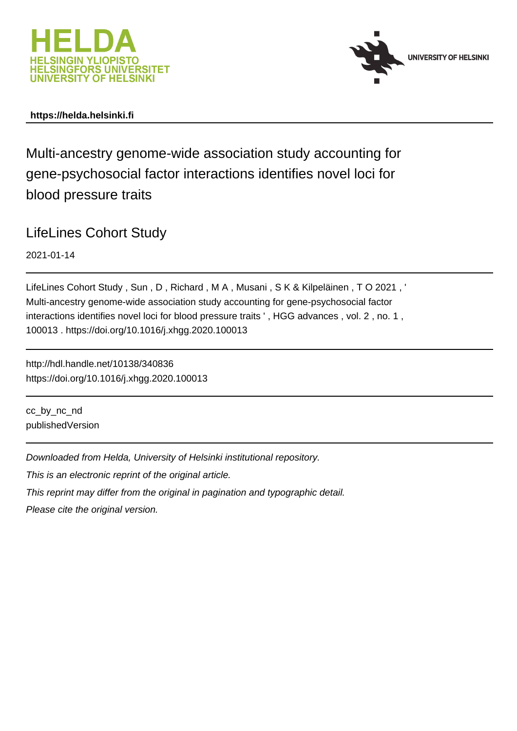



## **https://helda.helsinki.fi**

Multi-ancestry genome-wide association study accounting for gene-psychosocial factor interactions identifies novel loci for blood pressure traits

LifeLines Cohort Study

2021-01-14

LifeLines Cohort Study , Sun , D , Richard , M A , Musani , S K & Kilpeläinen , T O 2021 , ' Multi-ancestry genome-wide association study accounting for gene-psychosocial factor interactions identifies novel loci for blood pressure traits ' , HGG advances , vol. 2 , no. 1 , 100013 . https://doi.org/10.1016/j.xhgg.2020.100013

http://hdl.handle.net/10138/340836 https://doi.org/10.1016/j.xhgg.2020.100013

cc\_by\_nc\_nd publishedVersion

Downloaded from Helda, University of Helsinki institutional repository.

This is an electronic reprint of the original article.

This reprint may differ from the original in pagination and typographic detail.

Please cite the original version.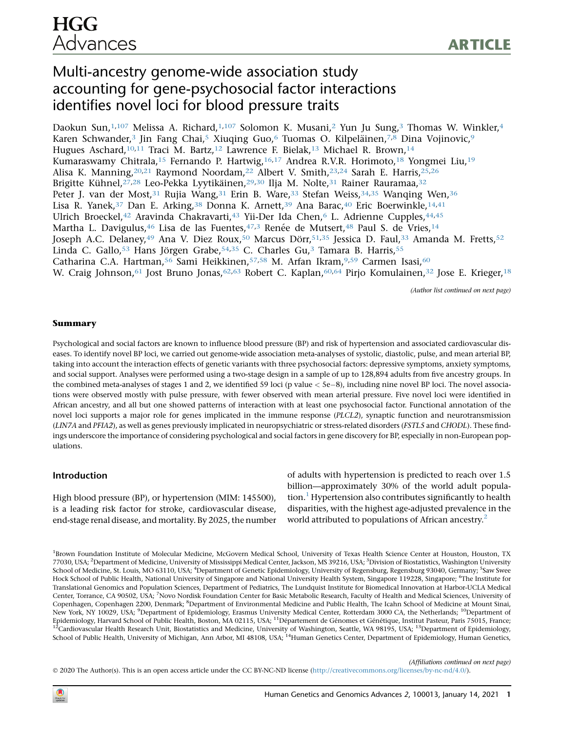# Multi-ancestry genome-wide association study accounting for gene-psychosocial factor interactions identifies novel loci for blood pressure traits

Daokun Sun,<sup>1,107</sup> Melissa A. Richard,<sup>1,107</sup> Solomon K. Musani,<sup>2</sup> Yun Ju Sung,<sup>3</sup> Thomas W. Winkler,<sup>4</sup> Karen Schwander,<sup>3</sup> Jin Fang Chai,<sup>5</sup> Xiuqing Guo,<sup>6</sup> Tuomas O. Kilpeläinen,<sup>7,8</sup> Dina Vojinovic,<sup>9</sup> Hugues Aschard,<sup>10,11</sup> Traci M. Bartz,<sup>12</sup> Lawrence F. Bielak,<sup>13</sup> Michael R. Brown,<sup>14</sup> Kumaraswamy Chitrala,<sup>15</sup> Fernando P. Hartwig,<sup>16,17</sup> Andrea R.V.R. Horimoto,<sup>18</sup> Yongmei Liu,<sup>19</sup> Alisa K. Manning,20,21 Raymond Noordam,22 Albert V. Smith,23,24 Sarah E. Harris,25,26 Brigitte Kühnel,<sup>27,28</sup> Leo-Pekka Lyytikäinen,<sup>29,30</sup> Ilja M. Nolte,<sup>31</sup> Rainer Rauramaa,<sup>32</sup> Peter J. van der Most,<sup>31</sup> Rujia Wang,<sup>31</sup> Erin B. Ware,<sup>33</sup> Stefan Weiss,<sup>34,35</sup> Wanqing Wen,<sup>36</sup> Lisa R. Yanek,  $37$  Dan E. Arking,  $38$  Donna K. Arnett,  $39$  Ana Barac,  $40$  Eric Boerwinkle,  $14,41$ Ulrich Broeckel,<sup>42</sup> Aravinda Chakravarti,<sup>43</sup> Yii-Der Ida Chen,<sup>6</sup> L. Adrienne Cupples,<sup>44,45</sup> Martha L. Davigulus,  $46$  Lisa de las Fuentes,  $47,3$  Renée de Mutsert,  $48$  Paul S. de Vries,  $14$ Joseph A.C. Delaney,<sup>49</sup> Ana V. Diez Roux,<sup>50</sup> Marcus Dörr,<sup>51,35</sup> Jessica D. Faul,<sup>33</sup> Amanda M. Fretts,<sup>52</sup> Linda C. Gallo,<sup>53</sup> Hans Jörgen Grabe,<sup>54,35</sup> C. Charles Gu,<sup>3</sup> Tamara B. Harris,<sup>55</sup> Catharina C.A. Hartman,<sup>56</sup> Sami Heikkinen,<sup>57,58</sup> M. Arfan Ikram,<sup>9,59</sup> Carmen Isasi,<sup>60</sup> W. Craig Johnson,<sup>61</sup> Jost Bruno Jonas,<sup>62,63</sup> Robert C. Kaplan,<sup>60,64</sup> Pirjo Komulainen,<sup>32</sup> Jose E. Krieger,<sup>18</sup>

(Author list continued on next page)

### Summary

Psychological and social factors are known to influence blood pressure (BP) and risk of hypertension and associated cardiovascular diseases. To identify novel BP loci, we carried out genome-wide association meta-analyses of systolic, diastolic, pulse, and mean arterial BP, taking into account the interaction effects of genetic variants with three psychosocial factors: depressive symptoms, anxiety symptoms, and social support. Analyses were performed using a two-stage design in a sample of up to 128,894 adults from five ancestry groups. In the combined meta-analyses of stages 1 and 2, we identified 59 loci (p value  $<$  5e $-$ 8), including nine novel BP loci. The novel associations were observed mostly with pulse pressure, with fewer observed with mean arterial pressure. Five novel loci were identified in African ancestry, and all but one showed patterns of interaction with at least one psychosocial factor. Functional annotation of the novel loci supports a major role for genes implicated in the immune response (PLCL2), synaptic function and neurotransmission (LIN7A and PFIA2), as well as genes previously implicated in neuropsychiatric or stress-related disorders (FSTL5 and CHODL). These findings underscore the importance of considering psychological and social factors in gene discovery for BP, especially in non-European populations.

#### Introduction

High blood pressure (BP), or hypertension (MIM: 145500), is a leading risk factor for stroke, cardiovascular disease, end-stage renal disease, and mortality. By 2025, the number of adults with hypertension is predicted to reach over 1.5 billion—approximately 30% of the world adult population.<sup>1</sup> Hypertension also contributes significantly to health disparities, with the highest age-adjusted prevalence in the world attributed to populations of African ancestry.<sup>2</sup>

<sup>1</sup>Brown Foundation Institute of Molecular Medicine, McGovern Medical School, University of Texas Health Science Center at Houston, Houston, TX 77030, USA; <sup>2</sup>Department of Medicine, University of Mississippi Medical Center, Jackson, MS 39216, USA; <sup>3</sup>Division of Biostatistics, Washington University School of Medicine, St. Louis, MO 63110, USA; <sup>4</sup>Department of Genetic Epidemiology, University of Regensburg, Regensburg 93040, Germany; <sup>S</sup>Saw Swee Hock School of Public Health, National University of Singapore and National University Health System, Singapore 119228, Singapore; <sup>6</sup>The Institute for Translational Genomics and Population Sciences, Department of Pediatrics, The Lundquist Institute for Biomedical Innovation at Harbor-UCLA Medical Center, Torrance, CA 90502, USA; <sup>7</sup>Novo Nordisk Foundation Center for Basic Metabolic Research, Faculty of Health and Medical Sciences, University of Copenhagen, Copenhagen 2200, Denmark; <sup>8</sup>Department of Environmental Medicine and Public Health, The Icahn School of Medicine at Mount Sinai, New York, NY 10029, USA; <sup>9</sup>Department of Epidemiology, Erasmus University Medical Center, Rotterdam 3000 CA, the Netherlands; <sup>10</sup>Department of Epidemiology, Harvard School of Public Health, Boston, MA 02115, USA; <sup>11</sup>Département de Génomes et Génétique, Institut Pasteur, Paris 75015, France; <sup>12</sup>Cardiovascular Health Research Unit, Biostatistics and Medicine, University of Washington, Seattle, WA 98195, USA; <sup>13</sup>Department of Epidemiology, School of Public Health, University of Michigan, Ann Arbor, MI 48108, USA; <sup>14</sup>Human Genetics Center, Department of Epidemiology, Human Genetics,

(Affiliations continued on next page)

2020 The Author(s). This is an open access article under the CC BY-NC-ND license [\(http://creativecommons.org/licenses/by-nc-nd/4.0/](http://creativecommons.org/licenses/by-nc-nd/4.0/)).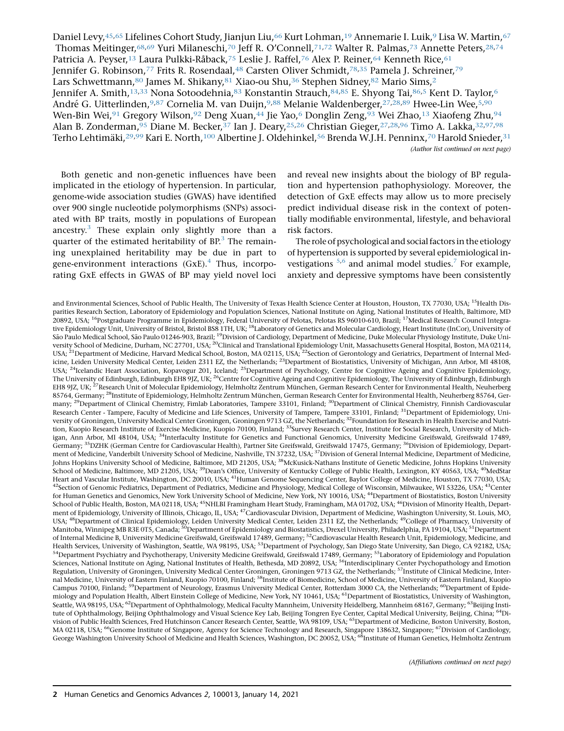Daniel Levy, 45,65 Lifelines Cohort Study, Jianjun Liu, <sup>66</sup> Kurt Lohman, <sup>19</sup> Annemarie I. Luik, <sup>9</sup> Lisa W. Martin, <sup>67</sup> Thomas Meitinger,<sup>68,69</sup> Yuri Milaneschi,<sup>70</sup> Jeff R. O'Connell,<sup>71,72</sup> Walter R. Palmas,<sup>73</sup> Annette Peters,<sup>28,74</sup> Patricia A. Peyser,<sup>13</sup> Laura Pulkki-Råback,<sup>75</sup> Leslie J. Raffel,<sup>76</sup> Alex P. Reiner,<sup>64</sup> Kenneth Rice,<sup>61</sup> Jennifer G. Robinson,<sup>77</sup> Frits R. Rosendaal,<sup>48</sup> Carsten Oliver Schmidt,<sup>78,35</sup> Pamela J. Schreiner,<sup>79</sup> Lars Schwettmann, 80 James M. Shikany, 81 Xiao-ou Shu, 36 Stephen Sidney, 82 Mario Sims, 2 Jennifer A. Smith,<sup>13,33</sup> Nona Sotoodehnia,<sup>83</sup> Konstantin Strauch, 84,85 E. Shyong Tai, 86,5 Kent D. Taylor, <sup>6</sup> André G. Uitterlinden,9,87 Cornelia M. van Duijn,9,88 Melanie Waldenberger,27,28,89 Hwee-Lin Wee,5,90 Wen-Bin Wei,<sup>91</sup> Gregory Wilson,<sup>92</sup> Deng Xuan,<sup>44</sup> Jie Yao,<sup>6</sup> Donglin Zeng,<sup>93</sup> Wei Zhao,<sup>13</sup> Xiaofeng Zhu,<sup>94</sup> Alan B. Zonderman,<sup>95</sup> Diane M. Becker,<sup>37</sup> Ian J. Deary,<sup>25,26</sup> Christian Gieger,<sup>27,28,96</sup> Timo A. Lakka,<sup>32,97,98</sup> Terho Lehtimäki,<sup>29,99</sup> Kari E. North,<sup>100</sup> Albertine J. Oldehinkel,<sup>56</sup> Brenda W.J.H. Penninx,<sup>70</sup> Harold Snieder,<sup>31</sup> (Author list continued on next page)

Both genetic and non-genetic influences have been implicated in the etiology of hypertension. In particular, genome-wide association studies (GWAS) have identified over 900 single nucleotide polymorphisms (SNPs) associated with BP traits, mostly in populations of European ancestry.<sup>3</sup> These explain only slightly more than a quarter of the estimated heritability of  $BP^3$ . The remaining unexplained heritability may be due in part to gene-environment interactions  $(GxE)$ .<sup>4</sup> Thus, incorporating GxE effects in GWAS of BP may yield novel loci and reveal new insights about the biology of BP regulation and hypertension pathophysiology. Moreover, the detection of GxE effects may allow us to more precisely predict individual disease risk in the context of potentially modifiable environmental, lifestyle, and behavioral risk factors.

The role of psychological and social factors in the etiology of hypertension is supported by several epidemiological investigations  $5,6$  and animal model studies.<sup>7</sup> For example, anxiety and depressive symptoms have been consistently

and Environmental Sciences, School of Public Health, The University of Texas Health Science Center at Houston, Houston, TX 77030, USA; <sup>15</sup>Health Disparities Research Section, Laboratory of Epidemiology and Population Sciences, National Institute on Aging, National Institutes of Health, Baltimore, MD 20892, USA; <sup>16</sup>Postgraduate Programme in Epidemiology, Federal University of Pelotas, Pelotas RS 96010-610, Brazil; <sup>17</sup>Medical Research Council Integrative Epidemiology Unit, University of Bristol, Bristol BS8 1TH, UK; <sup>18</sup>Laboratory of Genetics and Molecular Cardiology, Heart Institute (InCor), University of São Paulo Medical School, São Paulo 01246-903, Brazil; <sup>19</sup>Division of Cardiology, Department of Medicine, Duke Molecular Physiology Institute, Duke University School of Medicine, Durham, NC 27701, USA; <sup>20</sup>Clinical and Translational Epidemiology Unit, Massachusetts General Hospital, Boston, MA 02114, USA; <sup>21</sup>Department of Medicine, Harvard Medical School, Boston, MA 02115, USA; <sup>22</sup>Section of Gerontology and Geriatrics, Department of Internal Medicine, Leiden University Medical Center, Leiden 2311 EZ, the Netherlands; <sup>23</sup>Department of Biostatistics, University of Michigan, Ann Arbor, MI 48108, USA; <sup>24</sup>Icelandic Heart Association, Kopavogur 201, Iceland; <sup>25</sup>Department of Psychology, Centre for Cognitive Ageing and Cognitive Epidemiology, The University of Edinburgh, Edinburgh EH8 9JZ, UK; <sup>26</sup>Centre for Cognitive Ageing and Cognitive Epidemiology, The University of Edinburgh, Edinburgh EH8 9JZ, UK; <sup>27</sup>Research Unit of Molecular Epidemiology, Helmholtz Zentrum München, German Research Center for Environmental Health, Neuherberg 85764, Germany; <sup>28</sup>Institute of Epidemiology, Helmholtz Zentrum München, German Research Center for Environmental Health, Neuherberg 85764, Germany; <sup>29</sup>Department of Clinical Chemistry, Fimlab Laboratories, Tampere 33101, Finland; <sup>30</sup>Department of Clinical Chemistry, Finnish Cardiovascular Research Center - Tampere, Faculty of Medicine and Life Sciences, University of Tampere, Tampere 33101, Finland; <sup>31</sup>Department of Epidemiology, University of Groningen, University Medical Center Groningen, Groningen 9713 GZ, the Netherlands; <sup>32</sup>Foundation for Research in Health Exercise and Nutrition, Kuopio Research Institute of Exercise Medicine, Kuopio 70100, Finland; <sup>33</sup>Survey Research Center, Institute for Social Research, University of Michigan, Ann Arbor, MI 48104, USA; <sup>34</sup>Interfaculty Institute for Genetics and Functional Genomics, University Medicine Greifswald, Greifswald 17489, Germany; 35DZHK (German Centre for Cardiovascular Health), Partner Site Greifswald, Greifswald 17475, Germany; 36Division of Epidemiology, Department of Medicine, Vanderbilt University School of Medicine, Nashville, TN 37232, USA; 37Division of General Internal Medicine, Department of Medicine, Johns Hopkins University School of Medicine, Baltimore, MD 21205, USA; <sup>38</sup>McKusick-Nathans Institute of Genetic Medicine, Johns Hopkins University School of Medicine, Baltimore, MD 21205, USA; <sup>39</sup>Dean's Office, University of Kentucky College of Public Health, Lexington, KY 40563, USA; <sup>40</sup>MedStar Heart and Vascular Institute, Washington, DC 20010, USA; <sup>41</sup>Human Genome Sequencing Center, Baylor College of Medicine, Houston, TX 77030, USA; <sup>42</sup>Section of Genomic Pediatrics, Department of Pediatrics, Medicine and Physiology, Medical College of Wisconsin, Milwaukee, WI 53226, USA; <sup>43</sup>Center for Human Genetics and Genomics, New York University School of Medicine, New York, NY 10016, USA; <sup>44</sup>Department of Biostatistics, Boston University School of Public Health, Boston, MA 02118, USA; <sup>45</sup>NHLBI Framingham Heart Study, Framingham, MA 01702, USA; <sup>46</sup>Division of Minority Health, Department of Epidemiology, University of Illinois, Chicago, IL, USA; 47Cardiovascular Division, Department of Medicine, Washington University, St. Louis, MO, USA; <sup>48</sup>Department of Clinical Epidemiology, Leiden University Medical Center, Leiden 2311 EZ, the Netherlands; <sup>49</sup>College of Pharmacy, University of Manitoba, Winnipeg MB R3E 0T5, Canada; <sup>50</sup>Department of Epidemiology and Biostatistics, Drexel University, Philadelphia, PA 19104, USA; <sup>51</sup>Department of Internal Medicine B, University Medicine Greifswald, Greifswald 17489, Germany; 52Cardiovascular Health Research Unit, Epidemiology, Medicine, and Health Services, University of Washington, Seattle, WA 98195, USA; <sup>53</sup>Department of Psychology, San Diego State University, San Diego, CA 92182, USA; <sup>54</sup>Department Psychiatry and Psychotherapy, University Medicine Greifswald, Greifswald 17489, Germany; <sup>55</sup>Laboratory of Epidemiology and Population Sciences, National Institute on Aging, National Institutes of Health, Bethesda, MD 20892, USA; <sup>56</sup>Interdisciplinary Center Psychopathology and Emotion Regulation, University of Groningen, University Medical Center Groningen, Groningen 9713 GZ, the Netherlands; <sup>57</sup>Institute of Clinical Medicine, Internal Medicine, University of Eastern Finland, Kuopio 70100, Finland; <sup>58</sup>Institute of Biomedicine, School of Medicine, University of Eastern Finland, Kuopio Campus 70100, Finland; <sup>59</sup>Department of Neurology, Erasmus University Medical Center, Rotterdam 3000 CA, the Netherlands; <sup>60</sup>Department of Epidemiology and Population Health, Albert Einstein College of Medicine, New York, NY 10461, USA; 61Department of Biostatistics, University of Washington, Seattle, WA 98195, USA; <sup>62</sup>Department of Ophthalmology, Medical Faculty Mannheim, University Heidelberg, Mannheim 68167, Germany; <sup>63</sup>Beijing Institute of Ophthalmology, Beijing Ophthalmology and Visual Science Key Lab, Beijing Tongren Eye Center, Capital Medical University, Beijing, China; <sup>64</sup>Division of Public Health Sciences, Fred Hutchinson Cancer Research Center, Seattle, WA 98109, USA; <sup>65</sup>Department of Medicine, Boston University, Boston, MA 02118, USA; <sup>66</sup>Genome Institute of Singapore, Agency for Science Technology and Research, Singapore 138632, Singapore; <sup>67</sup>Division of Cardiology, George Washington University School of Medicine and Health Sciences, Washington, DC 20052, USA; <sup>68</sup>Institute of Human Genetics, Helmholtz Zentrum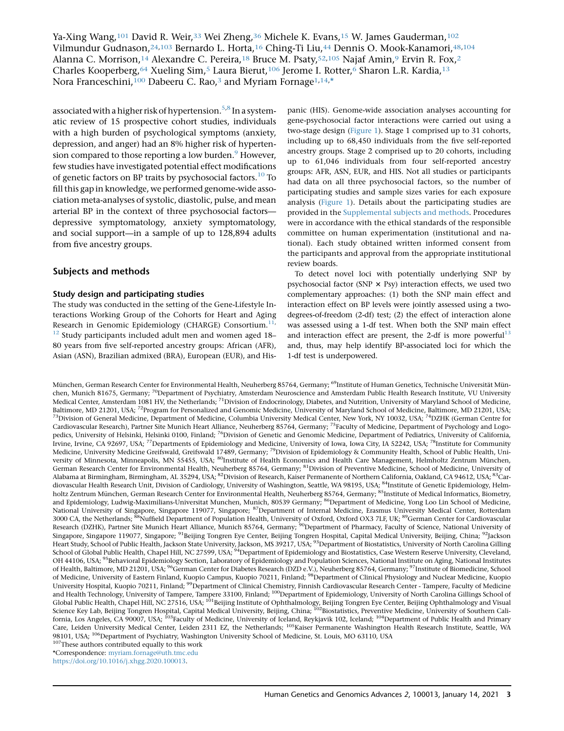Ya-Xing Wang,<sup>101</sup> David R. Weir,<sup>33</sup> Wei Zheng,<sup>36</sup> Michele K. Evans,<sup>15</sup> W. James Gauderman,<sup>102</sup> Vilmundur Gudnason,24,103 Bernardo L. Horta,16 Ching-Ti Liu,44 Dennis O. Mook-Kanamori,48,104 Alanna C. Morrison,<sup>14</sup> Alexandre C. Pereira,<sup>18</sup> Bruce M. Psaty,<sup>52,105</sup> Najaf Amin,<sup>9</sup> Ervin R. Fox,<sup>2</sup> Charles Kooperberg,<sup>64</sup> Xueling Sim,<sup>5</sup> Laura Bierut,<sup>106</sup> Jerome I. Rotter,<sup>6</sup> Sharon L.R. Kardia,<sup>13</sup> Nora Franceschini,<sup>100</sup> Dabeeru C. Rao,<sup>3</sup> and Myriam Fornage<sup>1,14,\*</sup>

associated with a higher risk of hypertension.<sup>5,8</sup> In a systematic review of 15 prospective cohort studies, individuals with a high burden of psychological symptoms (anxiety, depression, and anger) had an 8% higher risk of hypertension compared to those reporting a low burden.<sup>9</sup> However, few studies have investigated potential effect modifications of genetic factors on BP traits by psychosocial factors.<sup>10</sup> To fill this gap in knowledge, we performed genome-wide association meta-analyses of systolic, diastolic, pulse, and mean arterial BP in the context of three psychosocial factors depressive symptomatology, anxiety symptomatology, and social support—in a sample of up to 128,894 adults from five ancestry groups.

## Subjects and methods

#### Study design and participating studies

The study was conducted in the setting of the Gene-Lifestyle Interactions Working Group of the Cohorts for Heart and Aging Research in Genomic Epidemiology (CHARGE) Consortium.<sup>11,</sup> <sup>12</sup> Study participants included adult men and women aged 18-80 years from five self-reported ancestry groups: African (AFR), Asian (ASN), Brazilian admixed (BRA), European (EUR), and His-

panic (HIS). Genome-wide association analyses accounting for gene-psychosocial factor interactions were carried out using a two-stage design (Figure 1). Stage 1 comprised up to 31 cohorts, including up to 68,450 individuals from the five self-reported ancestry groups. Stage 2 comprised up to 20 cohorts, including up to 61,046 individuals from four self-reported ancestry groups: AFR, ASN, EUR, and HIS. Not all studies or participants had data on all three psychosocial factors, so the number of participating studies and sample sizes varies for each exposure analysis (Figure 1). Details about the participating studies are provided in the Supplemental subjects and methods. Procedures were in accordance with the ethical standards of the responsible committee on human experimentation (institutional and national). Each study obtained written informed consent from the participants and approval from the appropriate institutional review boards.

To detect novel loci with potentially underlying SNP by psychosocial factor (SNP  $\times$  Psy) interaction effects, we used two complementary approaches: (1) both the SNP main effect and interaction effect on BP levels were jointly assessed using a twodegrees-of-freedom (2-df) test; (2) the effect of interaction alone was assessed using a 1-df test. When both the SNP main effect and interaction effect are present, the 2-df is more powerful<sup>13</sup> and, thus, may help identify BP-associated loci for which the 1-df test is underpowered.

München, German Research Center for Environmental Health, Neuherberg 85764, Germany; <sup>69</sup>Institute of Human Genetics, Technische Universität München, Munich 81675, Germany; <sup>70</sup>Department of Psychiatry, Amsterdam Neuroscience and Amsterdam Public Health Research Institute, VU University Medical Center, Amsterdam 1081 HV, the Netherlands; <sup>71</sup>Division of Endocrinology, Diabetes, and Nutrition, University of Maryland School of Medicine, Baltimore, MD 21201, USA; <sup>72</sup>Program for Personalized and Genomic Medicine, University of Maryland School of Medicine, Baltimore, MD 21201, USA; <sup>73</sup>Division of General Medicine, Department of Medicine, Columbia University Medical Center, New York, NY 10032, USA; <sup>74</sup>DZHK (German Centre for Cardiovascular Research), Partner Site Munich Heart Alliance, Neuherberg 85764, Germany; 75Faculty of Medicine, Department of Psychology and Logopedics, University of Helsinki, Helsinki 0100, Finland; <sup>76</sup>Division of Genetic and Genomic Medicine, Department of Pediatrics, University of California, Irvine, Irvine, CA 92697, USA; <sup>77</sup>Departments of Epidemiology and Medicine, University of Iowa, Iowa City, IA 52242, USA; <sup>78</sup>Institute for Community Medicine, University Medicine Greifswald, Greifswald 17489, Germany; <sup>79</sup>Division of Epidemiology & Community Health, School of Public Health, University of Minnesota, Minneapolis, MN 55455, USA; <sup>80</sup>Institute of Health Economics and Health Care Management, Helmholtz Zentrum München, German Research Center for Environmental Health, Neuherberg 85764, Germany; 81Division of Preventive Medicine, School of Medicine, University of Alabama at Birmingham, Birmingham, AL 35294, USA; <sup>82</sup>Division of Research, Kaiser Permanente of Northern California, Oakland, CA 94612, USA; <sup>83</sup>Cardiovascular Health Research Unit, Division of Cardiology, University of Washington, Seattle, WA 98195, USA; <sup>84</sup>Institute of Genetic Epidemiology, Helmholtz Zentrum München, German Research Center for Environmental Health, Neuherberg 85764, Germany; 85Institute of Medical Informatics, Biometry, and Epidemiology, Ludwig-Maximilians-Universitat Munchen, Munich, 80539 Germany; <sup>86</sup>Department of Medicine, Yong Loo Lin School of Medicine, National University of Singapore, Singapore 119077, Singapore; <sup>87</sup>Department of Internal Medicine, Erasmus University Medical Center, Rotterdam 3000 CA, the Netherlands; <sup>88</sup>Nuffield Department of Population Health, University of Oxford, Oxford OX3 7LF, UK; <sup>89</sup>German Center for Cardiovascular Research (DZHK), Partner Site Munich Heart Alliance, Munich 85764, Germany; <sup>90</sup>Department of Pharmacy, Faculty of Science, National University of Singapore, Singapore 119077, Singapore; <sup>91</sup>Beijing Tongren Eye Center, Beijing Tongren Hospital, Capital Medical University, Beijing, China; <sup>92</sup>Jackson Heart Study, School of Public Health, Jackson State University, Jackson, MS 39217, USA; <sup>93</sup>Department of Biostatistics, University of North Carolina Gilling School of Global Public Health, Chapel Hill, NC 27599, USA; <sup>94</sup>Department of Epidemiology and Biostatistics, Case Western Reserve University, Cleveland, OH 44106, USA; <sup>95</sup>Behavioral Epidemiology Section, Laboratory of Epidemiology and Population Sciences, National Institute on Aging, National Institutes of Health, Baltimore, MD 21201, USA; <sup>96</sup>German Center for Diabetes Research (DZD e.V.), Neuherberg 85764, Germany; <sup>97</sup>Institute of Biomedicine, School of Medicine, University of Eastern Finland, Kuopio Campus, Kuopio 70211, Finland; 98Department of Clinical Physiology and Nuclear Medicine, Kuopio University Hospital, Kuopio 70211, Finland; <sup>99</sup>Department of Clinical Chemistry, Finnish Cardiovascular Research Center - Tampere, Faculty of Medicine and Health Technology, University of Tampere, Tampere 33100, Finland; <sup>100</sup>Department of Epidemiology, University of North Carolina Gillings School of Global Public Health, Chapel Hill, NC 27516, USA; <sup>101</sup>Beijing Institute of Ophthalmology, Beijing Tongren Eye Center, Beijing Ophthalmology and Visual Science Key Lab, Beijing Tongren Hospital, Capital Medical University, Beijing, China; <sup>102</sup>Biostatistics, Preventive Medicine, University of Southern California, Los Angeles, CA 90007, USA; <sup>103</sup>Faculty of Medicine, University of Iceland, Reykjavik 102, Iceland; <sup>104</sup>Department of Public Health and Primary Care, Leiden University Medical Center, Leiden 2311 EZ, the Netherlands; <sup>105</sup>Kaiser Permanente Washington Health Research Institute, Seattle, WA 98101, USA; <sup>106</sup>Department of Psychiatry, Washington University School of Medicine, St. Louis, MO 63110, USA

 $^{107}\!$  These authors contributed equally to this work \*Correspondence: [myriam.fornage@uth.tmc.edu](mailto:myriam.fornage@uth.tmc.edu) [https://doi.org/10.1016/j.xhgg.2020.100013.](https://doi.org/10.1016/j.xhgg.2020.100013)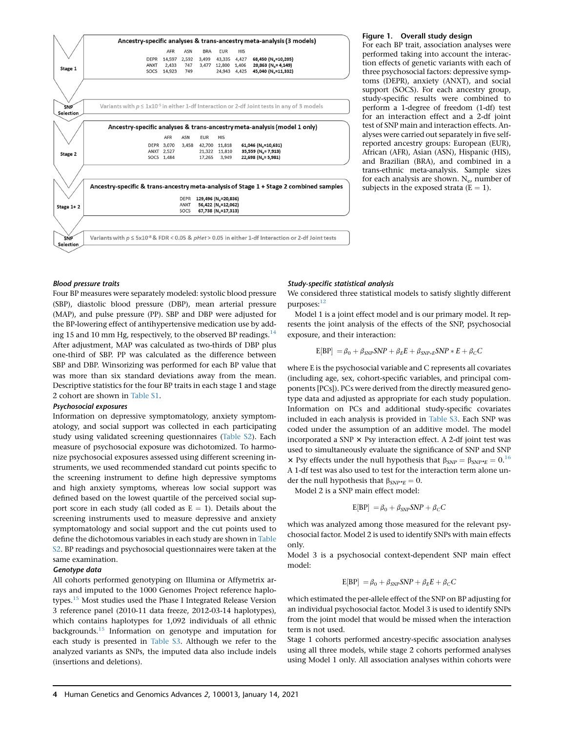

#### Figure 1. Overall study design

For each BP trait, association analyses were performed taking into account the interaction effects of genetic variants with each of three psychosocial factors: depressive symptoms (DEPR), anxiety (ANXT), and social support (SOCS). For each ancestry group, study-specific results were combined to perform a 1-degree of freedom (1-df) test for an interaction effect and a 2-df joint test of SNP main and interaction effects. Analyses were carried out separately in five selfreported ancestry groups: European (EUR), African (AFR), Asian (ASN), Hispanic (HIS), and Brazilian (BRA), and combined in a trans-ethnic meta-analysis. Sample sizes for each analysis are shown.  $N_e$ , number of subjects in the exposed strata  $(E = 1)$ .

#### Blood pressure traits

Four BP measures were separately modeled: systolic blood pressure (SBP), diastolic blood pressure (DBP), mean arterial pressure (MAP), and pulse pressure (PP). SBP and DBP were adjusted for the BP-lowering effect of antihypertensive medication use by adding 15 and 10 mm Hg, respectively, to the observed BP readings.<sup>14</sup> After adjustment, MAP was calculated as two-thirds of DBP plus one-third of SBP. PP was calculated as the difference between SBP and DBP. Winsorizing was performed for each BP value that was more than six standard deviations away from the mean. Descriptive statistics for the four BP traits in each stage 1 and stage 2 cohort are shown in Table S1.

#### Psychosocial exposures

Information on depressive symptomatology, anxiety symptomatology, and social support was collected in each participating study using validated screening questionnaires (Table S2). Each measure of psychosocial exposure was dichotomized. To harmonize psychosocial exposures assessed using different screening instruments, we used recommended standard cut points specific to the screening instrument to define high depressive symptoms and high anxiety symptoms, whereas low social support was defined based on the lowest quartile of the perceived social support score in each study (all coded as  $E = 1$ ). Details about the screening instruments used to measure depressive and anxiety symptomatology and social support and the cut points used to define the dichotomous variables in each study are shown in Table S2. BP readings and psychosocial questionnaires were taken at the same examination.

#### Genotype data

All cohorts performed genotyping on Illumina or Affymetrix arrays and imputed to the 1000 Genomes Project reference haplotypes.<sup>15</sup> Most studies used the Phase I Integrated Release Version 3 reference panel (2010-11 data freeze, 2012-03-14 haplotypes), which contains haplotypes for 1,092 individuals of all ethnic backgrounds.15 Information on genotype and imputation for each study is presented in Table S3. Although we refer to the analyzed variants as SNPs, the imputed data also include indels (insertions and deletions).

#### Study-specific statistical analysis

We considered three statistical models to satisfy slightly different purposes:<sup>12</sup>

Model 1 is a joint effect model and is our primary model. It represents the joint analysis of the effects of the SNP, psychosocial exposure, and their interaction:

$$
E[BP] = \beta_0 + \beta_{SNP} SNP + \beta_E E + \beta_{SNP*E} SNP * E + \beta_C C
$$

where E is the psychosocial variable and C represents all covariates (including age, sex, cohort-specific variables, and principal components [PCs]). PCs were derived from the directly measured genotype data and adjusted as appropriate for each study population. Information on PCs and additional study-specific covariates included in each analysis is provided in Table S3. Each SNP was coded under the assumption of an additive model. The model incorporated a SNP  $\times$  Psy interaction effect. A 2-df joint test was used to simultaneously evaluate the significance of SNP and SNP  $\chi$  Psy effects under the null hypothesis that  $\beta_{SNP} = \beta_{SNP^*E} = 0.16$ A 1-df test was also used to test for the interaction term alone under the null hypothesis that  $\beta_{SNP^*E} = 0$ .

Model 2 is a SNP main effect model:

$$
E[BP] = \beta_0 + \beta_{SNP} SNP + \beta_C C
$$

which was analyzed among those measured for the relevant psychosocial factor. Model 2 is used to identify SNPs with main effects only.

Model 3 is a psychosocial context-dependent SNP main effect model:

$$
E[BP] = \beta_0 + \beta_{SNP} SNP + \beta_E E + \beta_C C
$$

which estimated the per-allele effect of the SNP on BP adjusting for an individual psychosocial factor. Model 3 is used to identify SNPs from the joint model that would be missed when the interaction term is not used.

Stage 1 cohorts performed ancestry-specific association analyses using all three models, while stage 2 cohorts performed analyses using Model 1 only. All association analyses within cohorts were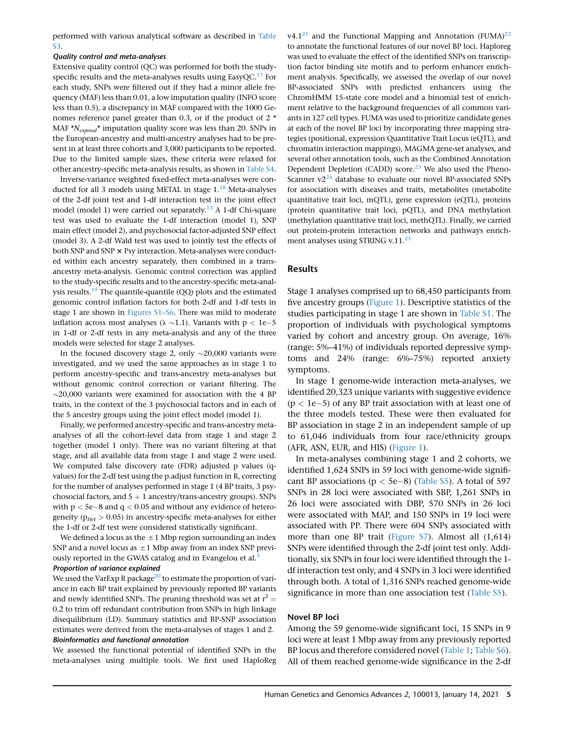performed with various analytical software as described in Table S3.

#### Quality control and meta-analyses

Extensive quality control (QC) was performed for both the studyspecific results and the meta-analyses results using EasyQC.<sup>17</sup> For each study, SNPs were filtered out if they had a minor allele frequency (MAF) less than 0.01, a low imputation quality (INFO score less than 0.5), a discrepancy in MAF compared with the 1000 Genomes reference panel greater than 0.3, or if the product of 2 \* MAF  $N_{exposed}^*$  imputation quality score was less than 20. SNPs in the European-ancestry and multi-ancestry analyses had to be present in at least three cohorts and 3,000 participants to be reported. Due to the limited sample sizes, these criteria were relaxed for other ancestry-specific meta-analysis results, as shown in Table S4.

Inverse-variance weighted fixed-effect meta-analyses were conducted for all 3 models using METAL in stage  $1.^{18}$  Meta-analyses of the 2-df joint test and 1-df interaction test in the joint effect model (model 1) were carried out separately.<sup>13</sup> A 1-df Chi-square test was used to evaluate the 1-df interaction (model 1), SNP main effect (model 2), and psychosocial factor-adjusted SNP effect (model 3). A 2-df Wald test was used to jointly test the effects of both SNP and SNP  $\times$  Psy interaction. Meta-analyses were conducted within each ancestry separately, then combined in a transancestry meta-analysis. Genomic control correction was applied to the study-specific results and to the ancestry-specific meta-analysis results.<sup>19</sup> The quantile-quantile  $(QQ)$  plots and the estimated genomic control inflation factors for both 2-df and 1-df tests in stage 1 are shown in Figures S1–S6. There was mild to moderate inflation across most analyses ( $\lambda \sim 1.1$ ). Variants with p < 1e-5 in 1-df or 2-df tests in any meta-analysis and any of the three models were selected for stage 2 analyses.

In the focused discovery stage 2, only  $\sim$ 20,000 variants were investigated, and we used the same approaches as in stage 1 to perform ancestry-specific and trans-ancestry meta-analyses but without genomic control correction or variant filtering. The  $\sim$ 20,000 variants were examined for association with the 4 BP traits, in the context of the 3 psychosocial factors and in each of the 5 ancestry groups using the joint effect model (model 1).

Finally, we performed ancestry-specific and trans-ancestry metaanalyses of all the cohort-level data from stage 1 and stage 2 together (model 1 only). There was no variant filtering at that stage, and all available data from stage 1 and stage 2 were used. We computed false discovery rate (FDR) adjusted p values (qvalues) for the 2-df test using the p.adjust function in R, correcting for the number of analyses performed in stage 1 (4 BP traits, 3 psychosocial factors, and  $5 + 1$  ancestry/trans-ancestry groups). SNPs with  $p < 5e-8$  and  $q < 0.05$  and without any evidence of heterogeneity ( $p_{Het}$  > 0.05) in ancestry-specific meta-analyses for either the 1-df or 2-df test were considered statistically significant.

We defined a locus as the  $\pm 1$  Mbp region surrounding an index SNP and a novel locus as  $\pm 1$  Mbp away from an index SNP previously reported in the GWAS catalog and in Evangelou et al.<sup>3</sup>

#### Proportion of variance explained

We used the VarExp R package<sup>20</sup> to estimate the proportion of variance in each BP trait explained by previously reported BP variants and newly identified SNPs. The pruning threshold was set at  $r^2 =$ 0.2 to trim off redundant contribution from SNPs in high linkage disequilibrium (LD). Summary statistics and BP-SNP association estimates were derived from the meta-analyses of stages 1 and 2. Bioinformatics and functional annotation

We assessed the functional potential of identified SNPs in the meta-analyses using multiple tools. We first used HaploReg v4.1<sup>21</sup> and the Functional Mapping and Annotation (FUMA)<sup>22</sup> to annotate the functional features of our novel BP loci. Haploreg was used to evaluate the effect of the identified SNPs on transcription factor binding site motifs and to perform enhancer enrichment analysis. Specifically, we assessed the overlap of our novel BP-associated SNPs with predicted enhancers using the ChromHMM 15-state core model and a binomial test of enrichment relative to the background frequencies of all common variants in 127 cell types. FUMA was used to prioritize candidate genes at each of the novel BP loci by incorporating three mapping strategies (positional, expression Quantitative Trait Locus (eQTL), and chromatin interaction mappings), MAGMA gene-set analyses, and several other annotation tools, such as the Combined Annotation Dependent Depletion (CADD) score. $23$  We also used the Pheno-Scanner  $v2^{24}$  database to evaluate our novel BP-associated SNPs for association with diseases and traits, metabolites (metabolite quantitative trait loci, mQTL), gene expression (eQTL), proteins (protein quantitative trait loci, pQTL), and DNA methylation (methylation quantitative trait loci, methQTL). Finally, we carried out protein-protein interaction networks and pathways enrichment analyses using STRING v.11. $^{25}$ 

## Results

Stage 1 analyses comprised up to 68,450 participants from five ancestry groups (Figure 1). Descriptive statistics of the studies participating in stage 1 are shown in Table S1. The proportion of individuals with psychological symptoms varied by cohort and ancestry group. On average, 16% (range: 5%–41%) of individuals reported depressive symptoms and 24% (range: 6%–75%) reported anxiety symptoms.

In stage 1 genome-wide interaction meta-analyses, we identified 20,323 unique variants with suggestive evidence  $(p < 1e-5)$  of any BP trait association with at least one of the three models tested. These were then evaluated for BP association in stage 2 in an independent sample of up to 61,046 individuals from four race/ethnicity groups (AFR, ASN, EUR, and HIS) (Figure 1).

In meta-analyses combining stage 1 and 2 cohorts, we identified 1,624 SNPs in 59 loci with genome-wide significant BP associations ( $p <$  5e-8) (Table S5). A total of 597 SNPs in 28 loci were associated with SBP, 1,261 SNPs in 26 loci were associated with DBP, 570 SNPs in 26 loci were associated with MAP, and 150 SNPs in 19 loci were associated with PP. There were 604 SNPs associated with more than one BP trait (Figure S7). Almost all (1,614) SNPs were identified through the 2-df joint test only. Additionally, six SNPs in four loci were identified through the 1 df interaction test only, and 4 SNPs in 3 loci were identified through both. A total of 1,316 SNPs reached genome-wide significance in more than one association test (Table S5).

## Novel BP loci

Among the 59 genome-wide significant loci, 15 SNPs in 9 loci were at least 1 Mbp away from any previously reported BP locus and therefore considered novel (Table 1; Table S6). All of them reached genome-wide significance in the 2-df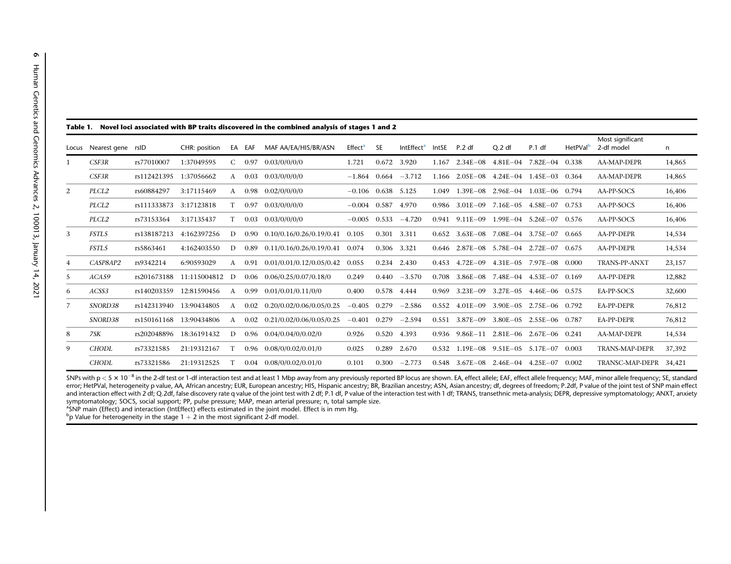| Novel loci associated with BP traits discovered in the combined analysis of stages 1 and 2<br>Table 1. |                   |             |                |              |                   |                             |                      |             |                              |       |                                                  |                                        |                                  |                      |                                |        |
|--------------------------------------------------------------------------------------------------------|-------------------|-------------|----------------|--------------|-------------------|-----------------------------|----------------------|-------------|------------------------------|-------|--------------------------------------------------|----------------------------------------|----------------------------------|----------------------|--------------------------------|--------|
| Locus                                                                                                  | Nearest gene rsID |             | CHR: position  |              | EA EAF            | MAF AA/EA/HIS/BR/ASN        | Effect <sup>a</sup>  | <b>SE</b>   | <b>IntEffect<sup>a</sup></b> | IntSE | P.2 df                                           | Q.2df                                  | P.1 df                           | HetPVal <sup>b</sup> | Most significant<br>2-df model | n      |
|                                                                                                        | CSF3R             | rs77010007  | 1:37049595     | $\mathsf{C}$ | 0.97              | 0.03/0/0/0/0                | 1.721                | 0.672       | 3.920                        | 1.167 |                                                  |                                        | 2.34E-08 4.81E-04 7.82E-04 0.338 |                      | AA-MAP-DEPR                    | 14,865 |
|                                                                                                        | CSF3R             | rs112421395 | 1:37056662     | $\mathsf{A}$ | 0.03              | 0.03/0/0/0/0                | $-1.864$ 0.664       |             | $-3.712$                     |       | $1.166$ $2.05E-08$ $4.24E-04$ $1.45E-03$ $0.364$ |                                        |                                  |                      | AA-MAP-DEPR                    | 14,865 |
| 2                                                                                                      | PLCL2             | rs60884297  | 3:17115469     | A            | 0.98              | 0.02/0/0/0/0                | $-0.106$ 0.638 5.125 |             |                              | 1.049 |                                                  |                                        | 1.39E-08 2.96E-04 1.03E-06 0.794 |                      | AA-PP-SOCS                     | 16,406 |
|                                                                                                        | PLCL2             | rs111333873 | 3:17123818     |              | 0.97              | 0.03/0/0/0/0                | $-0.004$ 0.587       |             | 4.970                        |       | 0.986 3.01E-09 7.16E-05 4.58E-07 0.753           |                                        |                                  |                      | AA-PP-SOCS                     | 16,406 |
|                                                                                                        | PLCL2             | rs73153364  | 3:17135437     |              | 0.03              | 0.03/0/0/0/0                | $-0.005$             | 0.533       | $-4.720$                     | 0.941 | $9.11E - 09$                                     |                                        | $1.99E - 04$ $5.26E - 07$        | 0.576                | AA-PP-SOCS                     | 16,406 |
| 3                                                                                                      | FSTL5             | rs138187213 | 4:162397256    | D            | 0.90 <sub>1</sub> | 0.10/0.16/0.26/0.19/0.41    | 0.105                | 0.301       | 3.311                        | 0.652 |                                                  | $3.63E - 08$ $7.08E - 04$ $3.75E - 07$ |                                  | 0.665                | AA-PP-DEPR                     | 14,534 |
|                                                                                                        | FSTL5             | rs5863461   | 4:162403550    | D            | 0.89              | 0.11/0.16/0.26/0.19/0.41    | 0.074                | 0.306 3.321 |                              |       | $0.646$ $2.87E-08$ $5.78E-04$ $2.72E-07$ $0.675$ |                                        |                                  |                      | AA-PP-DEPR                     | 14,534 |
| 4                                                                                                      | CASP8AP2          | rs9342214   | 6:90593029     | $\mathsf{A}$ | 0.91              | 0.01/0.01/0.12/0.05/0.42    | 0.055                |             | 0.234 2.430                  | 0.453 |                                                  |                                        | 4.72E-09 4.31E-05 7.97E-08 0.000 |                      | <b>TRANS-PP-ANXT</b>           | 23,157 |
| 5                                                                                                      | ACA59             | rs201673188 | 11:115004812 D |              | 0.06              | 0.06/0.25/0.07/0.18/0       | 0.249                | 0.440       | $-3.570$                     | 0.708 |                                                  |                                        | 3.86E-08 7.48E-04 4.53E-07 0.169 |                      | AA-PP-DEPR                     | 12,882 |
| 6                                                                                                      | ACSS3             | rs140203359 | 12:81590456    | A            | 0.99              | 0.01/0.01/0.11/0/0          | 0.400                | 0.578 4.444 |                              | 0.969 |                                                  | $3.23E-09$ $3.27E-05$                  | $4.46E - 06$ 0.575               |                      | EA-PP-SOCS                     | 32,600 |
| 7                                                                                                      | SNORD38           | rs142313940 | 13:90434805    | A            | 0.02              | 0.20/0.02/0.06/0.05/0.25    | $-0.405$             | 0.279       | $-2.586$                     | 0.552 | $4.01E - 09$                                     | $3.90E - 0.5$                          | 2.75E-06 0.792                   |                      | EA-PP-DEPR                     | 76.812 |
|                                                                                                        | SNORD38           | rs150161168 | 13:90434806    | A            | 0.02              | 0.21/0.02/0.06/0.05/0.25    | $-0.401$ 0.279       |             | $-2.594$                     |       | 0.551 3.87E-09 3.80E-05 2.55E-06 0.787           |                                        |                                  |                      | EA-PP-DEPR                     | 76,812 |
| 8                                                                                                      | 7SK               | rs202048896 | 18:36191432    | D            |                   | $0.96$ $0.04/0.04/0/0.02/0$ | 0.926                | 0.520 4.393 |                              |       | 0.936 9.86E-11 2.81E-06 2.67E-06 0.241           |                                        |                                  |                      | AA-MAP-DEPR                    | 14,534 |
| 9                                                                                                      | <b>CHODL</b>      | rs73321585  | 21:19312167    |              | 0.96              | 0.08/0/0.02/0.01/0          | 0.025                | 0.289       | 2.670                        | 0.532 |                                                  | $1.19E - 08$ $9.51E - 05$ $5.17E - 07$ |                                  | 0.003                | <b>TRANS-MAP-DEPR</b>          | 37,392 |
|                                                                                                        | <b>CHODL</b>      | rs73321586  | 21:19312525    | T            |                   | $0.04$ $0.08/0/0.02/0.01/0$ | 0.101                | 0.300       | $-2.773$                     |       | $0.548$ $3.67E-08$ $2.46E-04$ $4.25E-07$         |                                        |                                  | 0.002                | TRANSC-MAP-DEPR 34,421         |        |

SNPs with p  $<$  5  $\times$  10<sup>-8</sup> in the 2-df test or 1-df interaction test and at least 1 Mbp away from any previously reported BP locus are shown. EA, effect allele; EAF, effect allele frequency; MAF, minor allele frequency error; HetPVal, heterogeneity p value, AA, African ancestry; EUR, European ancestry; HIS, Hispanic ancestry; BR, Brazilian ancestry; ASN, Asian ancestry; df, degrees of freedom; P.2df, P value of the joint test of SNP main and interaction effect with 2 df; Q.2df, false discovery rate q value of the joint test with 2 df; P.1 df, P value of the interaction test with 1 df; TRANS, transethnic meta-analysis; DEPR, depressive symptomatology; ANXT, symptomatology; SOCS, social support; PP, pulse pressure; MAP, mean arterial pressure; n, total sample size. <sup>a</sup>SNP main (Effect) and interaction (IntEffect) effects estimated in the joint model. Effect is in mm Hg.

 $^{\text{b}}$ p Value for heterogeneity in the stage 1  $+$  2 in the most significant 2-df model.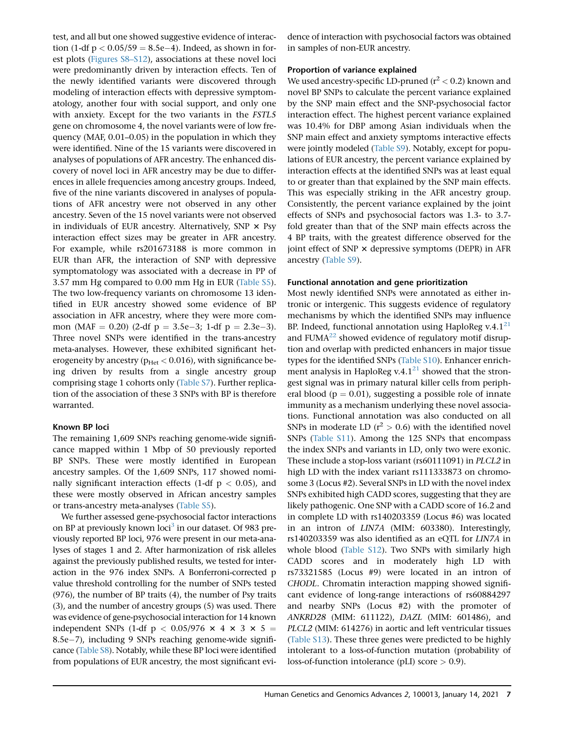test, and all but one showed suggestive evidence of interaction (1-df  $p < 0.05/59 = 8.5e-4$ ). Indeed, as shown in forest plots (Figures S8–S12), associations at these novel loci were predominantly driven by interaction effects. Ten of the newly identified variants were discovered through modeling of interaction effects with depressive symptomatology, another four with social support, and only one with anxiety. Except for the two variants in the FSTL5 gene on chromosome 4, the novel variants were of low frequency (MAF, 0.01–0.05) in the population in which they were identified. Nine of the 15 variants were discovered in analyses of populations of AFR ancestry. The enhanced discovery of novel loci in AFR ancestry may be due to differences in allele frequencies among ancestry groups. Indeed, five of the nine variants discovered in analyses of populations of AFR ancestry were not observed in any other ancestry. Seven of the 15 novel variants were not observed in individuals of EUR ancestry. Alternatively, SNP  $\times$  Psy interaction effect sizes may be greater in AFR ancestry. For example, while rs201673188 is more common in EUR than AFR, the interaction of SNP with depressive symptomatology was associated with a decrease in PP of 3.57 mm Hg compared to 0.00 mm Hg in EUR (Table S5). The two low-frequency variants on chromosome 13 identified in EUR ancestry showed some evidence of BP association in AFR ancestry, where they were more common (MAF = 0.20) (2-df  $p = 3.5e-3$ ; 1-df  $p = 2.3e-3$ ). Three novel SNPs were identified in the trans-ancestry meta-analyses. However, these exhibited significant heterogeneity by ancestry ( $p_{Het}$  < 0.016), with significance being driven by results from a single ancestry group comprising stage 1 cohorts only (Table S7). Further replication of the association of these 3 SNPs with BP is therefore warranted.

## Known BP loci

The remaining 1,609 SNPs reaching genome-wide significance mapped within 1 Mbp of 50 previously reported BP SNPs. These were mostly identified in European ancestry samples. Of the 1,609 SNPs, 117 showed nominally significant interaction effects (1-df  $p < 0.05$ ), and these were mostly observed in African ancestry samples or trans-ancestry meta-analyses (Table S5).

We further assessed gene-psychosocial factor interactions on BP at previously known loci<sup>3</sup> in our dataset. Of 983 previously reported BP loci, 976 were present in our meta-analyses of stages 1 and 2. After harmonization of risk alleles against the previously published results, we tested for interaction in the 976 index SNPs. A Bonferroni-corrected p value threshold controlling for the number of SNPs tested (976), the number of BP traits (4), the number of Psy traits (3), and the number of ancestry groups (5) was used. There was evidence of gene-psychosocial interaction for 14 known independent SNPs (1-df  $p < 0.05/976 \times 4 \times 3 \times 5 =$  $8.5e-7$ ), including 9 SNPs reaching genome-wide significance (Table S8). Notably, while these BP loci were identified from populations of EUR ancestry, the most significant evidence of interaction with psychosocial factors was obtained in samples of non-EUR ancestry.

## Proportion of variance explained

We used ancestry-specific LD-pruned ( $r^2$  < 0.2) known and novel BP SNPs to calculate the percent variance explained by the SNP main effect and the SNP-psychosocial factor interaction effect. The highest percent variance explained was 10.4% for DBP among Asian individuals when the SNP main effect and anxiety symptoms interactive effects were jointly modeled (Table S9). Notably, except for populations of EUR ancestry, the percent variance explained by interaction effects at the identified SNPs was at least equal to or greater than that explained by the SNP main effects. This was especially striking in the AFR ancestry group. Consistently, the percent variance explained by the joint effects of SNPs and psychosocial factors was 1.3- to 3.7 fold greater than that of the SNP main effects across the 4 BP traits, with the greatest difference observed for the joint effect of SNP  $\times$  depressive symptoms (DEPR) in AFR ancestry (Table S9).

## Functional annotation and gene prioritization

Most newly identified SNPs were annotated as either intronic or intergenic. This suggests evidence of regulatory mechanisms by which the identified SNPs may influence BP. Indeed, functional annotation using HaploReg v.4.1 $^{21}$ and FUMA $^{22}$  showed evidence of regulatory motif disruption and overlap with predicted enhancers in major tissue types for the identified SNPs (Table S10). Enhancer enrichment analysis in HaploReg v.4.1 $^{21}$  showed that the strongest signal was in primary natural killer cells from peripheral blood ( $p = 0.01$ ), suggesting a possible role of innate immunity as a mechanism underlying these novel associations. Functional annotation was also conducted on all SNPs in moderate LD ( $r^2 > 0.6$ ) with the identified novel SNPs (Table S11). Among the 125 SNPs that encompass the index SNPs and variants in LD, only two were exonic. These include a stop-loss variant (rs60111091) in PLCL2 in high LD with the index variant rs111333873 on chromosome 3 (Locus #2). Several SNPs in LD with the novel index SNPs exhibited high CADD scores, suggesting that they are likely pathogenic. One SNP with a CADD score of 16.2 and in complete LD with rs140203359 (Locus #6) was located in an intron of LIN7A (MIM: 603380). Interestingly, rs140203359 was also identified as an eQTL for LIN7A in whole blood (Table S12). Two SNPs with similarly high CADD scores and in moderately high LD with rs73321585 (Locus #9) were located in an intron of CHODL. Chromatin interaction mapping showed significant evidence of long-range interactions of rs60884297 and nearby SNPs (Locus #2) with the promoter of ANKRD28 (MIM: 611122), DAZL (MIM: 601486), and PLCL2 (MIM: 614276) in aortic and left ventricular tissues (Table S13). These three genes were predicted to be highly intolerant to a loss-of-function mutation (probability of loss-of-function intolerance (pLI) score  $> 0.9$ ).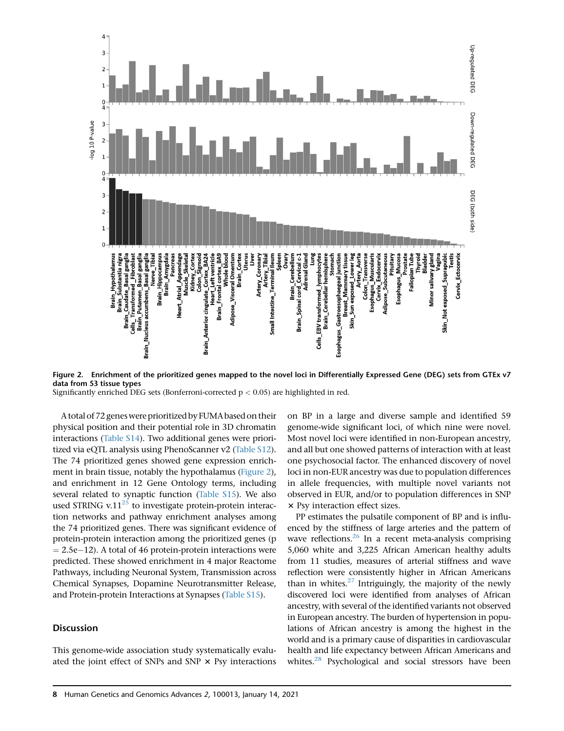

Figure 2. Enrichment of the prioritized genes mapped to the novel loci in Differentially Expressed Gene (DEG) sets from GTEx v7 data from 53 tissue types

Significantly enriched DEG sets (Bonferroni-corrected  $p < 0.05$ ) are highlighted in red.

A total of 72 genes were prioritized by FUMA based on their physical position and their potential role in 3D chromatin interactions (Table S14). Two additional genes were prioritized via eQTL analysis using PhenoScanner v2 (Table S12). The 74 prioritized genes showed gene expression enrichment in brain tissue, notably the hypothalamus (Figure 2), and enrichment in 12 Gene Ontology terms, including several related to synaptic function (Table S15). We also used STRING v.11 $^{25}$  to investigate protein-protein interaction networks and pathway enrichment analyses among the 74 prioritized genes. There was significant evidence of protein-protein interaction among the prioritized genes (p  $= 2.5e-12$ ). A total of 46 protein-protein interactions were predicted. These showed enrichment in 4 major Reactome Pathways, including Neuronal System, Transmission across Chemical Synapses, Dopamine Neurotransmitter Release, and Protein-protein Interactions at Synapses (Table S15).

## Discussion

This genome-wide association study systematically evaluated the joint effect of SNPs and SNP  $\times$  Psy interactions on BP in a large and diverse sample and identified 59 genome-wide significant loci, of which nine were novel. Most novel loci were identified in non-European ancestry, and all but one showed patterns of interaction with at least one psychosocial factor. The enhanced discovery of novel loci in non-EUR ancestry was due to population differences in allele frequencies, with multiple novel variants not observed in EUR, and/or to population differences in SNP  $\times$  Psy interaction effect sizes.

PP estimates the pulsatile component of BP and is influenced by the stiffness of large arteries and the pattern of wave reflections. $26$  In a recent meta-analysis comprising 5,060 white and 3,225 African American healthy adults from 11 studies, measures of arterial stiffness and wave reflection were consistently higher in African Americans than in whites. $27$  Intriguingly, the majority of the newly discovered loci were identified from analyses of African ancestry, with several of the identified variants not observed in European ancestry. The burden of hypertension in populations of African ancestry is among the highest in the world and is a primary cause of disparities in cardiovascular health and life expectancy between African Americans and whites.<sup>28</sup> Psychological and social stressors have been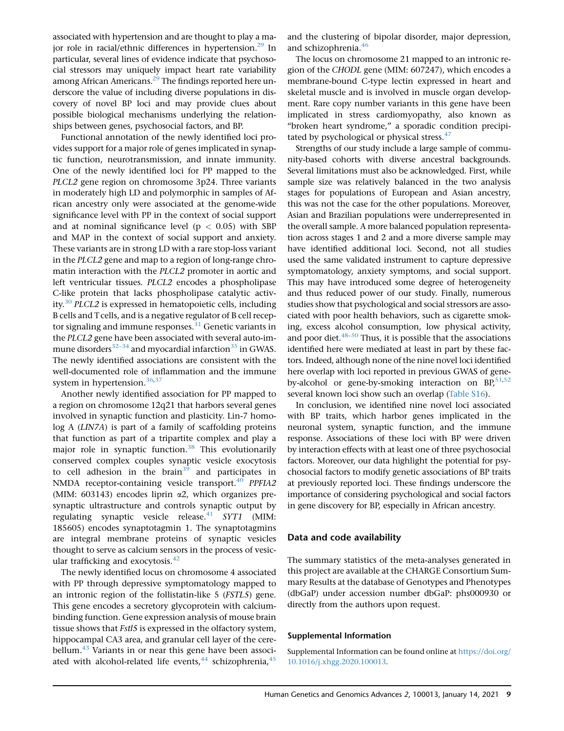associated with hypertension and are thought to play a major role in racial/ethnic differences in hypertension. $^{29}$  In particular, several lines of evidence indicate that psychosocial stressors may uniquely impact heart rate variability among African Americans.<sup>29</sup> The findings reported here underscore the value of including diverse populations in discovery of novel BP loci and may provide clues about possible biological mechanisms underlying the relationships between genes, psychosocial factors, and BP.

Functional annotation of the newly identified loci provides support for a major role of genes implicated in synaptic function, neurotransmission, and innate immunity. One of the newly identified loci for PP mapped to the PLCL2 gene region on chromosome 3p24. Three variants in moderately high LD and polymorphic in samples of African ancestry only were associated at the genome-wide significance level with PP in the context of social support and at nominal significance level ( $p < 0.05$ ) with SBP and MAP in the context of social support and anxiety. These variants are in strong LD with a rare stop-loss variant in the PLCL2 gene and map to a region of long-range chromatin interaction with the PLCL2 promoter in aortic and left ventricular tissues. PLCL2 encodes a phospholipase C-like protein that lacks phospholipase catalytic activity.<sup>30</sup> PLCL2 is expressed in hematopoietic cells, including B cells and T cells, and is a negative regulator of B cell receptor signaling and immune responses.<sup>31</sup> Genetic variants in the PLCL2 gene have been associated with several auto-immune disorders<sup>32–34</sup> and myocardial infarction<sup>35</sup> in GWAS. The newly identified associations are consistent with the well-documented role of inflammation and the immune system in hypertension.<sup>36,37</sup>

Another newly identified association for PP mapped to a region on chromosome 12q21 that harbors several genes involved in synaptic function and plasticity. Lin-7 homolog A (LIN7A) is part of a family of scaffolding proteins that function as part of a tripartite complex and play a major role in synaptic function.<sup>38</sup> This evolutionarily conserved complex couples synaptic vesicle exocytosis to cell adhesion in the brain<sup>39</sup> and participates in NMDA receptor-containing vesicle transport.<sup>40</sup> PPFIA2 (MIM:  $603143$ ) encodes liprin  $\alpha$ 2, which organizes presynaptic ultrastructure and controls synaptic output by regulating synaptic vesicle release. $41$  SYT1 (MIM: 185605) encodes synaptotagmin 1. The synaptotagmins are integral membrane proteins of synaptic vesicles thought to serve as calcium sensors in the process of vesicular trafficking and exocytosis. $42$ 

The newly identified locus on chromosome 4 associated with PP through depressive symptomatology mapped to an intronic region of the follistatin-like 5 (FSTL5) gene. This gene encodes a secretory glycoprotein with calciumbinding function. Gene expression analysis of mouse brain tissue shows that *Fstl5* is expressed in the olfactory system, hippocampal CA3 area, and granular cell layer of the cerebellum.<sup>43</sup> Variants in or near this gene have been associated with alcohol-related life events, $44$  schizophrenia, $45$ 

and the clustering of bipolar disorder, major depression, and schizophrenia.<sup>46</sup>

The locus on chromosome 21 mapped to an intronic region of the CHODL gene (MIM: 607247), which encodes a membrane-bound C-type lectin expressed in heart and skeletal muscle and is involved in muscle organ development. Rare copy number variants in this gene have been implicated in stress cardiomyopathy, also known as "broken heart syndrome," a sporadic condition precipitated by psychological or physical stress. $47$ 

Strengths of our study include a large sample of community-based cohorts with diverse ancestral backgrounds. Several limitations must also be acknowledged. First, while sample size was relatively balanced in the two analysis stages for populations of European and Asian ancestry, this was not the case for the other populations. Moreover, Asian and Brazilian populations were underrepresented in the overall sample. A more balanced population representation across stages 1 and 2 and a more diverse sample may have identified additional loci. Second, not all studies used the same validated instrument to capture depressive symptomatology, anxiety symptoms, and social support. This may have introduced some degree of heterogeneity and thus reduced power of our study. Finally, numerous studies show that psychological and social stressors are associated with poor health behaviors, such as cigarette smoking, excess alcohol consumption, low physical activity, and poor diet. $48-50$  Thus, it is possible that the associations identified here were mediated at least in part by these factors. Indeed, although none of the nine novel loci identified here overlap with loci reported in previous GWAS of geneby-alcohol or gene-by-smoking interaction on  $BP^{51,52}$ , several known loci show such an overlap (Table S16).

In conclusion, we identified nine novel loci associated with BP traits, which harbor genes implicated in the neuronal system, synaptic function, and the immune response. Associations of these loci with BP were driven by interaction effects with at least one of three psychosocial factors. Moreover, our data highlight the potential for psychosocial factors to modify genetic associations of BP traits at previously reported loci. These findings underscore the importance of considering psychological and social factors in gene discovery for BP, especially in African ancestry.

## Data and code availability

The summary statistics of the meta-analyses generated in this project are available at the CHARGE Consortium Summary Results at the database of Genotypes and Phenotypes (dbGaP) under accession number dbGaP: phs000930 or directly from the authors upon request.

#### Supplemental Information

Supplemental Information can be found online at [https://doi.org/](https://doi.org/10.1016/j.xhgg.2020.100013) [10.1016/j.xhgg.2020.100013](https://doi.org/10.1016/j.xhgg.2020.100013).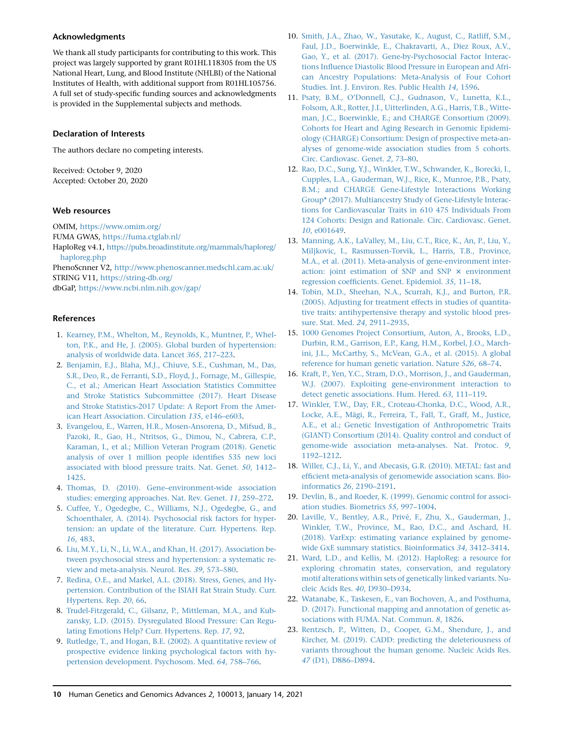## Acknowledgments

We thank all study participants for contributing to this work. This project was largely supported by grant R01HL118305 from the US National Heart, Lung, and Blood Institute (NHLBI) of the National Institutes of Health, with additional support from R01HL105756. A full set of study-specific funding sources and acknowledgments is provided in the Supplemental subjects and methods.

## Declaration of Interests

The authors declare no competing interests.

Received: October 9, 2020 Accepted: October 20, 2020

## Web resources

OMIM, <https://www.omim.org/> FUMA GWAS, <https://fuma.ctglab.nl/>

HaploReg v4.1, [https://pubs.broadinstitute.org/mammals/haploreg/](https://pubs.broadinstitute.org/mammals/haploreg/haploreg.php) [haploreg.php](https://pubs.broadinstitute.org/mammals/haploreg/haploreg.php)

PhenoScnner V2, <http://www.phenoscanner.medschl.cam.ac.uk/> STRING V11, <https://string-db.org/>

dbGaP, <https://www.ncbi.nlm.nih.gov/gap/>

#### References

- 1. [Kearney, P.M., Whelton, M., Reynolds, K., Muntner, P., Whel](http://refhub.elsevier.com/S2666-2477(20)30013-0/sref1)[ton, P.K., and He, J. \(2005\). Global burden of hypertension:](http://refhub.elsevier.com/S2666-2477(20)30013-0/sref1) [analysis of worldwide data. Lancet](http://refhub.elsevier.com/S2666-2477(20)30013-0/sref1) 365, 217–223.
- 2. [Benjamin, E.J., Blaha, M.J., Chiuve, S.E., Cushman, M., Das,](http://refhub.elsevier.com/S2666-2477(20)30013-0/sref2) [S.R., Deo, R., de Ferranti, S.D., Floyd, J., Fornage, M., Gillespie,](http://refhub.elsevier.com/S2666-2477(20)30013-0/sref2) [C., et al.; American Heart Association Statistics Committee](http://refhub.elsevier.com/S2666-2477(20)30013-0/sref2) [and Stroke Statistics Subcommittee \(2017\). Heart Disease](http://refhub.elsevier.com/S2666-2477(20)30013-0/sref2) [and Stroke Statistics-2017 Update: A Report From the Amer](http://refhub.elsevier.com/S2666-2477(20)30013-0/sref2)[ican Heart Association. Circulation](http://refhub.elsevier.com/S2666-2477(20)30013-0/sref2) 135, e146–e603.
- 3. [Evangelou, E., Warren, H.R., Mosen-Ansorena, D., Mifsud, B.,](http://refhub.elsevier.com/S2666-2477(20)30013-0/sref3) [Pazoki, R., Gao, H., Ntritsos, G., Dimou, N., Cabrera, C.P.,](http://refhub.elsevier.com/S2666-2477(20)30013-0/sref3) [Karaman, I., et al.; Million Veteran Program \(2018\). Genetic](http://refhub.elsevier.com/S2666-2477(20)30013-0/sref3) [analysis of over 1 million people identifies 535 new loci](http://refhub.elsevier.com/S2666-2477(20)30013-0/sref3) [associated with blood pressure traits. Nat. Genet.](http://refhub.elsevier.com/S2666-2477(20)30013-0/sref3) 50, 1412– [1425](http://refhub.elsevier.com/S2666-2477(20)30013-0/sref3).
- 4. [Thomas, D. \(2010\). Gene–environment-wide association](http://refhub.elsevier.com/S2666-2477(20)30013-0/sref4) [studies: emerging approaches. Nat. Rev. Genet.](http://refhub.elsevier.com/S2666-2477(20)30013-0/sref4) 11, 259–272.
- 5. [Cuffee, Y., Ogedegbe, C., Williams, N.J., Ogedegbe, G., and](http://refhub.elsevier.com/S2666-2477(20)30013-0/sref5) [Schoenthaler, A. \(2014\). Psychosocial risk factors for hyper](http://refhub.elsevier.com/S2666-2477(20)30013-0/sref5)[tension: an update of the literature. Curr. Hypertens. Rep.](http://refhub.elsevier.com/S2666-2477(20)30013-0/sref5) 16[, 483.](http://refhub.elsevier.com/S2666-2477(20)30013-0/sref5)
- 6. [Liu, M.Y., Li, N., Li, W.A., and Khan, H. \(2017\). Association be](http://refhub.elsevier.com/S2666-2477(20)30013-0/sref6)[tween psychosocial stress and hypertension: a systematic re](http://refhub.elsevier.com/S2666-2477(20)30013-0/sref6)[view and meta-analysis. Neurol. Res.](http://refhub.elsevier.com/S2666-2477(20)30013-0/sref6) 39, 573–580.
- 7. [Redina, O.E., and Markel, A.L. \(2018\). Stress, Genes, and Hy](http://refhub.elsevier.com/S2666-2477(20)30013-0/sref7)[pertension. Contribution of the ISIAH Rat Strain Study. Curr.](http://refhub.elsevier.com/S2666-2477(20)30013-0/sref7) [Hypertens. Rep.](http://refhub.elsevier.com/S2666-2477(20)30013-0/sref7) 20, 66.
- 8. [Trudel-Fitzgerald, C., Gilsanz, P., Mittleman, M.A., and Kub](http://refhub.elsevier.com/S2666-2477(20)30013-0/sref8)[zansky, L.D. \(2015\). Dysregulated Blood Pressure: Can Regu](http://refhub.elsevier.com/S2666-2477(20)30013-0/sref8)[lating Emotions Help? Curr. Hypertens. Rep.](http://refhub.elsevier.com/S2666-2477(20)30013-0/sref8) 17, 92.
- 9. [Rutledge, T., and Hogan, B.E. \(2002\). A quantitative review of](http://refhub.elsevier.com/S2666-2477(20)30013-0/sref9) [prospective evidence linking psychological factors with hy](http://refhub.elsevier.com/S2666-2477(20)30013-0/sref9)[pertension development. Psychosom. Med.](http://refhub.elsevier.com/S2666-2477(20)30013-0/sref9) 64, 758–766.
- 10. [Smith, J.A., Zhao, W., Yasutake, K., August, C., Ratliff, S.M.,](http://refhub.elsevier.com/S2666-2477(20)30013-0/sref10) [Faul, J.D., Boerwinkle, E., Chakravarti, A., Diez Roux, A.V.,](http://refhub.elsevier.com/S2666-2477(20)30013-0/sref10) [Gao, Y., et al. \(2017\). Gene-by-Psychosocial Factor Interac](http://refhub.elsevier.com/S2666-2477(20)30013-0/sref10)[tions Influence Diastolic Blood Pressure in European and Afri](http://refhub.elsevier.com/S2666-2477(20)30013-0/sref10)[can Ancestry Populations: Meta-Analysis of Four Cohort](http://refhub.elsevier.com/S2666-2477(20)30013-0/sref10) [Studies. Int. J. Environ. Res. Public Health](http://refhub.elsevier.com/S2666-2477(20)30013-0/sref10) 14, 1596.
- 11. [Psaty, B.M., O'Donnell, C.J., Gudnason, V., Lunetta, K.L.,](http://refhub.elsevier.com/S2666-2477(20)30013-0/sref11) [Folsom, A.R., Rotter, J.I., Uitterlinden, A.G., Harris, T.B., Witte](http://refhub.elsevier.com/S2666-2477(20)30013-0/sref11)[man, J.C., Boerwinkle, E.; and CHARGE Consortium \(2009\).](http://refhub.elsevier.com/S2666-2477(20)30013-0/sref11) [Cohorts for Heart and Aging Research in Genomic Epidemi](http://refhub.elsevier.com/S2666-2477(20)30013-0/sref11)[ology \(CHARGE\) Consortium: Design of prospective meta-an](http://refhub.elsevier.com/S2666-2477(20)30013-0/sref11)[alyses of genome-wide association studies from 5 cohorts.](http://refhub.elsevier.com/S2666-2477(20)30013-0/sref11) [Circ. Cardiovasc. Genet.](http://refhub.elsevier.com/S2666-2477(20)30013-0/sref11) 2, 73–80.
- 12. [Rao, D.C., Sung, Y.J., Winkler, T.W., Schwander, K., Borecki, I.,](http://refhub.elsevier.com/S2666-2477(20)30013-0/sref12) [Cupples, L.A., Gauderman, W.J., Rice, K., Munroe, P.B., Psaty,](http://refhub.elsevier.com/S2666-2477(20)30013-0/sref12) [B.M.; and CHARGE Gene-Lifestyle Interactions Working](http://refhub.elsevier.com/S2666-2477(20)30013-0/sref12) [Group\\* \(2017\). Multiancestry Study of Gene-Lifestyle Interac](http://refhub.elsevier.com/S2666-2477(20)30013-0/sref12)[tions for Cardiovascular Traits in 610 475 Individuals From](http://refhub.elsevier.com/S2666-2477(20)30013-0/sref12) [124 Cohorts: Design and Rationale. Circ. Cardiovasc. Genet.](http://refhub.elsevier.com/S2666-2477(20)30013-0/sref12) 10[, e001649.](http://refhub.elsevier.com/S2666-2477(20)30013-0/sref12)
- 13. [Manning, A.K., LaValley, M., Liu, C.T., Rice, K., An, P., Liu, Y.,](http://refhub.elsevier.com/S2666-2477(20)30013-0/sref13) [Miljkovic, I., Rasmussen-Torvik, L., Harris, T.B., Province,](http://refhub.elsevier.com/S2666-2477(20)30013-0/sref13) [M.A., et al. \(2011\). Meta-analysis of gene-environment inter](http://refhub.elsevier.com/S2666-2477(20)30013-0/sref13)[action: joint estimation of SNP and SNP](http://refhub.elsevier.com/S2666-2477(20)30013-0/sref13)  $\times$  [environment](http://refhub.elsevier.com/S2666-2477(20)30013-0/sref13) [regression coefficients. Genet. Epidemiol.](http://refhub.elsevier.com/S2666-2477(20)30013-0/sref13) 35, 11–18.
- 14. [Tobin, M.D., Sheehan, N.A., Scurrah, K.J., and Burton, P.R.](http://refhub.elsevier.com/S2666-2477(20)30013-0/sref14) [\(2005\). Adjusting for treatment effects in studies of quantita](http://refhub.elsevier.com/S2666-2477(20)30013-0/sref14)[tive traits: antihypertensive therapy and systolic blood pres](http://refhub.elsevier.com/S2666-2477(20)30013-0/sref14)[sure. Stat. Med.](http://refhub.elsevier.com/S2666-2477(20)30013-0/sref14) 24, 2911–2935.
- 15. [1000 Genomes Project Consortium, Auton, A., Brooks, L.D.,](http://refhub.elsevier.com/S2666-2477(20)30013-0/sref15) [Durbin, R.M., Garrison, E.P., Kang, H.M., Korbel, J.O., March](http://refhub.elsevier.com/S2666-2477(20)30013-0/sref15)[ini, J.L., McCarthy, S., McVean, G.A., et al. \(2015\). A global](http://refhub.elsevier.com/S2666-2477(20)30013-0/sref15) [reference for human genetic variation. Nature](http://refhub.elsevier.com/S2666-2477(20)30013-0/sref15) 526, 68–74.
- 16. [Kraft, P., Yen, Y.C., Stram, D.O., Morrison, J., and Gauderman,](http://refhub.elsevier.com/S2666-2477(20)30013-0/sref16) [W.J. \(2007\). Exploiting gene-environment interaction to](http://refhub.elsevier.com/S2666-2477(20)30013-0/sref16) [detect genetic associations. Hum. Hered.](http://refhub.elsevier.com/S2666-2477(20)30013-0/sref16) 63, 111–119.
- 17. [Winkler, T.W., Day, F.R., Croteau-Chonka, D.C., Wood, A.R.,](http://refhub.elsevier.com/S2666-2477(20)30013-0/sref17) Locke, A.E., Mägi, R., Ferreira, T., Fall, T., Graff, M., Justice, [A.E., et al.; Genetic Investigation of Anthropometric Traits](http://refhub.elsevier.com/S2666-2477(20)30013-0/sref17) [\(GIANT\) Consortium \(2014\). Quality control and conduct of](http://refhub.elsevier.com/S2666-2477(20)30013-0/sref17) [genome-wide association meta-analyses. Nat. Protoc.](http://refhub.elsevier.com/S2666-2477(20)30013-0/sref17) 9, [1192–1212](http://refhub.elsevier.com/S2666-2477(20)30013-0/sref17).
- 18. [Willer, C.J., Li, Y., and Abecasis, G.R. \(2010\). METAL: fast and](http://refhub.elsevier.com/S2666-2477(20)30013-0/sref18) [efficient meta-analysis of genomewide association scans. Bio](http://refhub.elsevier.com/S2666-2477(20)30013-0/sref18)informatics 26[, 2190–2191](http://refhub.elsevier.com/S2666-2477(20)30013-0/sref18).
- 19. [Devlin, B., and Roeder, K. \(1999\). Genomic control for associ](http://refhub.elsevier.com/S2666-2477(20)30013-0/sref19)[ation studies. Biometrics](http://refhub.elsevier.com/S2666-2477(20)30013-0/sref19) 55, 997–1004.
- 20. Laville, V., Bentley, A.R., Privé, F., Zhu, X., Gauderman, J., [Winkler, T.W., Province, M., Rao, D.C., and Aschard, H.](http://refhub.elsevier.com/S2666-2477(20)30013-0/sref20) [\(2018\). VarExp: estimating variance explained by genome](http://refhub.elsevier.com/S2666-2477(20)30013-0/sref20)[wide GxE summary statistics. Bioinformatics](http://refhub.elsevier.com/S2666-2477(20)30013-0/sref20) 34, 3412–3414.
- 21. [Ward, L.D., and Kellis, M. \(2012\). HaploReg: a resource for](http://refhub.elsevier.com/S2666-2477(20)30013-0/sref21) [exploring chromatin states, conservation, and regulatory](http://refhub.elsevier.com/S2666-2477(20)30013-0/sref21) [motif alterations within sets of genetically linked variants. Nu](http://refhub.elsevier.com/S2666-2477(20)30013-0/sref21)[cleic Acids Res.](http://refhub.elsevier.com/S2666-2477(20)30013-0/sref21) 40, D930–D934.
- 22. [Watanabe, K., Taskesen, E., van Bochoven, A., and Posthuma,](http://refhub.elsevier.com/S2666-2477(20)30013-0/sref22) [D. \(2017\). Functional mapping and annotation of genetic as](http://refhub.elsevier.com/S2666-2477(20)30013-0/sref22)[sociations with FUMA. Nat. Commun.](http://refhub.elsevier.com/S2666-2477(20)30013-0/sref22) 8, 1826.
- 23. [Rentzsch, P., Witten, D., Cooper, G.M., Shendure, J., and](http://refhub.elsevier.com/S2666-2477(20)30013-0/sref23) [Kircher, M. \(2019\). CADD: predicting the deleteriousness of](http://refhub.elsevier.com/S2666-2477(20)30013-0/sref23) [variants throughout the human genome. Nucleic Acids Res.](http://refhub.elsevier.com/S2666-2477(20)30013-0/sref23) 47 [\(D1\), D886–D894.](http://refhub.elsevier.com/S2666-2477(20)30013-0/sref23)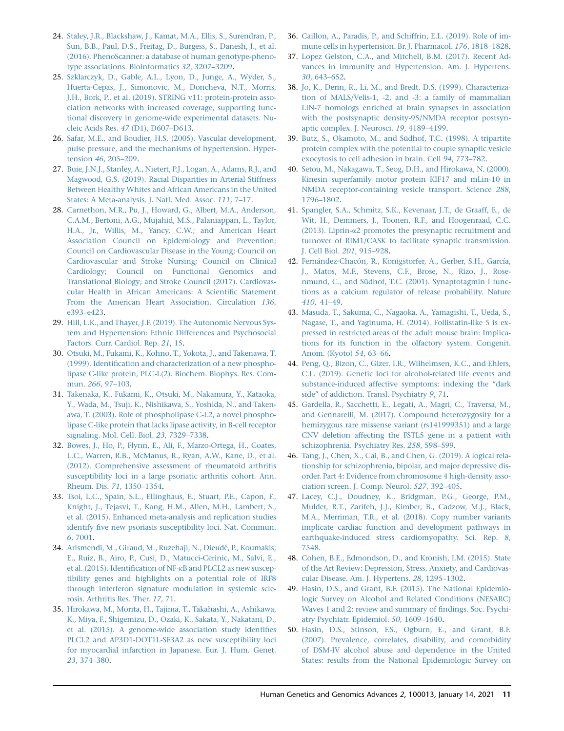- 24. [Staley, J.R., Blackshaw, J., Kamat, M.A., Ellis, S., Surendran, P.,](http://refhub.elsevier.com/S2666-2477(20)30013-0/sref24) [Sun, B.B., Paul, D.S., Freitag, D., Burgess, S., Danesh, J., et al.](http://refhub.elsevier.com/S2666-2477(20)30013-0/sref24) [\(2016\). PhenoScanner: a database of human genotype-pheno](http://refhub.elsevier.com/S2666-2477(20)30013-0/sref24)[type associations. Bioinformatics](http://refhub.elsevier.com/S2666-2477(20)30013-0/sref24) 32, 3207–3209.
- 25. [Szklarczyk, D., Gable, A.L., Lyon, D., Junge, A., Wyder, S.,](http://refhub.elsevier.com/S2666-2477(20)30013-0/sref25) [Huerta-Cepas, J., Simonovic, M., Doncheva, N.T., Morris,](http://refhub.elsevier.com/S2666-2477(20)30013-0/sref25) [J.H., Bork, P., et al. \(2019\). STRING v11: protein-protein asso](http://refhub.elsevier.com/S2666-2477(20)30013-0/sref25)[ciation networks with increased coverage, supporting func](http://refhub.elsevier.com/S2666-2477(20)30013-0/sref25)[tional discovery in genome-wide experimental datasets. Nu](http://refhub.elsevier.com/S2666-2477(20)30013-0/sref25)cleic Acids Res. 47 [\(D1\), D607–D613](http://refhub.elsevier.com/S2666-2477(20)30013-0/sref25).
- 26. [Safar, M.E., and Boudier, H.S. \(2005\). Vascular development,](http://refhub.elsevier.com/S2666-2477(20)30013-0/sref26) [pulse pressure, and the mechanisms of hypertension. Hyper](http://refhub.elsevier.com/S2666-2477(20)30013-0/sref26)tension 46[, 205–209.](http://refhub.elsevier.com/S2666-2477(20)30013-0/sref26)
- 27. [Buie, J.N.J., Stanley, A., Nietert, P.J., Logan, A., Adams, R.J., and](http://refhub.elsevier.com/S2666-2477(20)30013-0/sref27) [Magwood, G.S. \(2019\). Racial Disparities in Arterial Stiffness](http://refhub.elsevier.com/S2666-2477(20)30013-0/sref27) [Between Healthy Whites and African Americans in the United](http://refhub.elsevier.com/S2666-2477(20)30013-0/sref27) [States: A Meta-analysis. J. Natl. Med. Assoc.](http://refhub.elsevier.com/S2666-2477(20)30013-0/sref27) 111, 7–17.
- 28. [Carnethon, M.R., Pu, J., Howard, G., Albert, M.A., Anderson,](http://refhub.elsevier.com/S2666-2477(20)30013-0/sref28) [C.A.M., Bertoni, A.G., Mujahid, M.S., Palaniappan, L., Taylor,](http://refhub.elsevier.com/S2666-2477(20)30013-0/sref28) [H.A., Jr., Willis, M., Yancy, C.W.; and American Heart](http://refhub.elsevier.com/S2666-2477(20)30013-0/sref28) [Association Council on Epidemiology and Prevention;](http://refhub.elsevier.com/S2666-2477(20)30013-0/sref28) [Council on Cardiovascular Disease in the Young; Council on](http://refhub.elsevier.com/S2666-2477(20)30013-0/sref28) [Cardiovascular and Stroke Nursing; Council on Clinical](http://refhub.elsevier.com/S2666-2477(20)30013-0/sref28) [Cardiology; Council on Functional Genomics and](http://refhub.elsevier.com/S2666-2477(20)30013-0/sref28) [Translational Biology; and Stroke Council \(2017\). Cardiovas](http://refhub.elsevier.com/S2666-2477(20)30013-0/sref28)[cular Health in African Americans: A Scientific Statement](http://refhub.elsevier.com/S2666-2477(20)30013-0/sref28) [From the American Heart Association. Circulation](http://refhub.elsevier.com/S2666-2477(20)30013-0/sref28) 136, [e393–e423.](http://refhub.elsevier.com/S2666-2477(20)30013-0/sref28)
- 29. [Hill, L.K., and Thayer, J.F. \(2019\). The Autonomic Nervous Sys](http://refhub.elsevier.com/S2666-2477(20)30013-0/sref29)[tem and Hypertension: Ethnic Differences and Psychosocial](http://refhub.elsevier.com/S2666-2477(20)30013-0/sref29) [Factors. Curr. Cardiol. Rep.](http://refhub.elsevier.com/S2666-2477(20)30013-0/sref29) 21, 15.
- 30. [Otsuki, M., Fukami, K., Kohno, T., Yokota, J., and Takenawa, T.](http://refhub.elsevier.com/S2666-2477(20)30013-0/sref30) [\(1999\). Identification and characterization of a new phospho](http://refhub.elsevier.com/S2666-2477(20)30013-0/sref30)[lipase C-like protein, PLC-L\(2\). Biochem. Biophys. Res. Com](http://refhub.elsevier.com/S2666-2477(20)30013-0/sref30)mun. 266[, 97–103.](http://refhub.elsevier.com/S2666-2477(20)30013-0/sref30)
- 31. [Takenaka, K., Fukami, K., Otsuki, M., Nakamura, Y., Kataoka,](http://refhub.elsevier.com/S2666-2477(20)30013-0/sref31) [Y., Wada, M., Tsuji, K., Nishikawa, S., Yoshida, N., and Taken](http://refhub.elsevier.com/S2666-2477(20)30013-0/sref31)[awa, T. \(2003\). Role of phospholipase C-L2, a novel phospho](http://refhub.elsevier.com/S2666-2477(20)30013-0/sref31)[lipase C-like protein that lacks lipase activity, in B-cell receptor](http://refhub.elsevier.com/S2666-2477(20)30013-0/sref31) [signaling. Mol. Cell. Biol.](http://refhub.elsevier.com/S2666-2477(20)30013-0/sref31) 23, 7329–7338.
- 32. [Bowes, J., Ho, P., Flynn, E., Ali, F., Marzo-Ortega, H., Coates,](http://refhub.elsevier.com/S2666-2477(20)30013-0/sref32) [L.C., Warren, R.B., McManus, R., Ryan, A.W., Kane, D., et al.](http://refhub.elsevier.com/S2666-2477(20)30013-0/sref32) [\(2012\). Comprehensive assessment of rheumatoid arthritis](http://refhub.elsevier.com/S2666-2477(20)30013-0/sref32) [susceptibility loci in a large psoriatic arthritis cohort. Ann.](http://refhub.elsevier.com/S2666-2477(20)30013-0/sref32) [Rheum. Dis.](http://refhub.elsevier.com/S2666-2477(20)30013-0/sref32) 71, 1350–1354.
- 33. [Tsoi, L.C., Spain, S.L., Ellinghaus, E., Stuart, P.E., Capon, F.,](http://refhub.elsevier.com/S2666-2477(20)30013-0/sref33) [Knight, J., Tejasvi, T., Kang, H.M., Allen, M.H., Lambert, S.,](http://refhub.elsevier.com/S2666-2477(20)30013-0/sref33) [et al. \(2015\). Enhanced meta-analysis and replication studies](http://refhub.elsevier.com/S2666-2477(20)30013-0/sref33) [identify five new psoriasis susceptibility loci. Nat. Commun.](http://refhub.elsevier.com/S2666-2477(20)30013-0/sref33) 6[, 7001](http://refhub.elsevier.com/S2666-2477(20)30013-0/sref33).
- 34. Arismendi, M., Giraud, M., Ruzehaji, N., Dieudé, P., Koumakis, [E., Ruiz, B., Airo, P., Cusi, D., Matucci-Cerinic, M., Salvi, E.,](http://refhub.elsevier.com/S2666-2477(20)30013-0/sref34) [et al. \(2015\). Identification of NF-](http://refhub.elsevier.com/S2666-2477(20)30013-0/sref34)kB and PLCL2 as new suscep[tibility genes and highlights on a potential role of IRF8](http://refhub.elsevier.com/S2666-2477(20)30013-0/sref34) [through interferon signature modulation in systemic scle](http://refhub.elsevier.com/S2666-2477(20)30013-0/sref34)[rosis. Arthritis Res. Ther.](http://refhub.elsevier.com/S2666-2477(20)30013-0/sref34) 17, 71.
- 35. [Hirokawa, M., Morita, H., Tajima, T., Takahashi, A., Ashikawa,](http://refhub.elsevier.com/S2666-2477(20)30013-0/sref35) [K., Miya, F., Shigemizu, D., Ozaki, K., Sakata, Y., Nakatani, D.,](http://refhub.elsevier.com/S2666-2477(20)30013-0/sref35) [et al. \(2015\). A genome-wide association study identifies](http://refhub.elsevier.com/S2666-2477(20)30013-0/sref35) [PLCL2 and AP3D1-DOT1L-SF3A2 as new susceptibility loci](http://refhub.elsevier.com/S2666-2477(20)30013-0/sref35) [for myocardial infarction in Japanese. Eur. J. Hum. Genet.](http://refhub.elsevier.com/S2666-2477(20)30013-0/sref35) 23[, 374–380.](http://refhub.elsevier.com/S2666-2477(20)30013-0/sref35)
- 36. [Caillon, A., Paradis, P., and Schiffrin, E.L. \(2019\). Role of im](http://refhub.elsevier.com/S2666-2477(20)30013-0/sref36)[mune cells in hypertension. Br. J. Pharmacol.](http://refhub.elsevier.com/S2666-2477(20)30013-0/sref36) 176, 1818–1828.
- 37. [Lopez Gelston, C.A., and Mitchell, B.M. \(2017\). Recent Ad](http://refhub.elsevier.com/S2666-2477(20)30013-0/sref37)[vances in Immunity and Hypertension. Am. J. Hypertens.](http://refhub.elsevier.com/S2666-2477(20)30013-0/sref37) 30[, 643–652.](http://refhub.elsevier.com/S2666-2477(20)30013-0/sref37)
- 38. [Jo, K., Derin, R., Li, M., and Bredt, D.S. \(1999\). Characteriza](http://refhub.elsevier.com/S2666-2477(20)30013-0/sref38)[tion of MALS/Velis-1, -2, and -3: a family of mammalian](http://refhub.elsevier.com/S2666-2477(20)30013-0/sref38) [LIN-7 homologs enriched at brain synapses in association](http://refhub.elsevier.com/S2666-2477(20)30013-0/sref38) [with the postsynaptic density-95/NMDA receptor postsyn](http://refhub.elsevier.com/S2666-2477(20)30013-0/sref38)[aptic complex. J. Neurosci.](http://refhub.elsevier.com/S2666-2477(20)30013-0/sref38) 19, 4189–4199.
- 39. Butz, S., Okamoto, M., and Südhof, T.C. (1998). A tripartite [protein complex with the potential to couple synaptic vesicle](http://refhub.elsevier.com/S2666-2477(20)30013-0/sref39) [exocytosis to cell adhesion in brain. Cell](http://refhub.elsevier.com/S2666-2477(20)30013-0/sref39) 94, 773–782.
- 40. [Setou, M., Nakagawa, T., Seog, D.H., and Hirokawa, N. \(2000\).](http://refhub.elsevier.com/S2666-2477(20)30013-0/sref40) [Kinesin superfamily motor protein KIF17 and mLin-10 in](http://refhub.elsevier.com/S2666-2477(20)30013-0/sref40) [NMDA receptor-containing vesicle transport. Science](http://refhub.elsevier.com/S2666-2477(20)30013-0/sref40) 288, [1796–1802](http://refhub.elsevier.com/S2666-2477(20)30013-0/sref40).
- 41. [Spangler, S.A., Schmitz, S.K., Kevenaar, J.T., de Graaff, E., de](http://refhub.elsevier.com/S2666-2477(20)30013-0/sref41) [Wit, H., Demmers, J., Toonen, R.F., and Hoogenraad, C.C.](http://refhub.elsevier.com/S2666-2477(20)30013-0/sref41) (2013). Liprin-a[2 promotes the presynaptic recruitment and](http://refhub.elsevier.com/S2666-2477(20)30013-0/sref41) [turnover of RIM1/CASK to facilitate synaptic transmission.](http://refhub.elsevier.com/S2666-2477(20)30013-0/sref41) [J. Cell Biol.](http://refhub.elsevier.com/S2666-2477(20)30013-0/sref41) 201, 915–928.
- 42. Fernández-Chacón, R., Königstorfer, A., Gerber, S.H., García, [J., Matos, M.F., Stevens, C.F., Brose, N., Rizo, J., Rose](http://refhub.elsevier.com/S2666-2477(20)30013-0/sref42)nmund, C., and Südhof, T.C. (2001). Synaptotagmin I func[tions as a calcium regulator of release probability. Nature](http://refhub.elsevier.com/S2666-2477(20)30013-0/sref42) 410[, 41–49](http://refhub.elsevier.com/S2666-2477(20)30013-0/sref42).
- 43. [Masuda, T., Sakuma, C., Nagaoka, A., Yamagishi, T., Ueda, S.,](http://refhub.elsevier.com/S2666-2477(20)30013-0/sref43) [Nagase, T., and Yaginuma, H. \(2014\). Follistatin-like 5 is ex](http://refhub.elsevier.com/S2666-2477(20)30013-0/sref43)[pressed in restricted areas of the adult mouse brain: Implica](http://refhub.elsevier.com/S2666-2477(20)30013-0/sref43)[tions for its function in the olfactory system. Congenit.](http://refhub.elsevier.com/S2666-2477(20)30013-0/sref43) [Anom. \(Kyoto\)](http://refhub.elsevier.com/S2666-2477(20)30013-0/sref43) 54, 63–66.
- 44. [Peng, Q., Bizon, C., Gizer, I.R., Wilhelmsen, K.C., and Ehlers,](http://refhub.elsevier.com/S2666-2477(20)30013-0/sref44) [C.L. \(2019\). Genetic loci for alcohol-related life events and](http://refhub.elsevier.com/S2666-2477(20)30013-0/sref44) substance-induced affective symptoms: indexing the "dark [side'' of addiction. Transl. Psychiatry](http://refhub.elsevier.com/S2666-2477(20)30013-0/sref44) 9, 71.
- 45. [Gardella, R., Sacchetti, E., Legati, A., Magri, C., Traversa, M.,](http://refhub.elsevier.com/S2666-2477(20)30013-0/sref45) [and Gennarelli, M. \(2017\). Compound heterozygosity for a](http://refhub.elsevier.com/S2666-2477(20)30013-0/sref45) [hemizygous rare missense variant \(rs141999351\) and a large](http://refhub.elsevier.com/S2666-2477(20)30013-0/sref45) [CNV deletion affecting the FSTL5 gene in a patient with](http://refhub.elsevier.com/S2666-2477(20)30013-0/sref45) [schizophrenia. Psychiatry Res.](http://refhub.elsevier.com/S2666-2477(20)30013-0/sref45) 258, 598–599.
- 46. [Tang, J., Chen, X., Cai, B., and Chen, G. \(2019\). A logical rela](http://refhub.elsevier.com/S2666-2477(20)30013-0/sref46)[tionship for schizophrenia, bipolar, and major depressive dis](http://refhub.elsevier.com/S2666-2477(20)30013-0/sref46)[order. Part 4: Evidence from chromosome 4 high-density asso](http://refhub.elsevier.com/S2666-2477(20)30013-0/sref46)[ciation screen. J. Comp. Neurol.](http://refhub.elsevier.com/S2666-2477(20)30013-0/sref46) 527, 392–405.
- 47. [Lacey, C.J., Doudney, K., Bridgman, P.G., George, P.M.,](http://refhub.elsevier.com/S2666-2477(20)30013-0/sref47) [Mulder, R.T., Zarifeh, J.J., Kimber, B., Cadzow, M.J., Black,](http://refhub.elsevier.com/S2666-2477(20)30013-0/sref47) [M.A., Merriman, T.R., et al. \(2018\). Copy number variants](http://refhub.elsevier.com/S2666-2477(20)30013-0/sref47) [implicate cardiac function and development pathways in](http://refhub.elsevier.com/S2666-2477(20)30013-0/sref47) [earthquake-induced stress cardiomyopathy. Sci. Rep.](http://refhub.elsevier.com/S2666-2477(20)30013-0/sref47) 8, [7548](http://refhub.elsevier.com/S2666-2477(20)30013-0/sref47).
- 48. [Cohen, B.E., Edmondson, D., and Kronish, I.M. \(2015\). State](http://refhub.elsevier.com/S2666-2477(20)30013-0/sref48) [of the Art Review: Depression, Stress, Anxiety, and Cardiovas](http://refhub.elsevier.com/S2666-2477(20)30013-0/sref48)[cular Disease. Am. J. Hypertens.](http://refhub.elsevier.com/S2666-2477(20)30013-0/sref48) 28, 1295–1302.
- 49. [Hasin, D.S., and Grant, B.F. \(2015\). The National Epidemio](http://refhub.elsevier.com/S2666-2477(20)30013-0/sref49)[logic Survey on Alcohol and Related Conditions \(NESARC\)](http://refhub.elsevier.com/S2666-2477(20)30013-0/sref49) [Waves 1 and 2: review and summary of findings. Soc. Psychi](http://refhub.elsevier.com/S2666-2477(20)30013-0/sref49)[atry Psychiatr. Epidemiol.](http://refhub.elsevier.com/S2666-2477(20)30013-0/sref49) 50, 1609–1640.
- 50. [Hasin, D.S., Stinson, F.S., Ogburn, E., and Grant, B.F.](http://refhub.elsevier.com/S2666-2477(20)30013-0/sref50) [\(2007\). Prevalence, correlates, disability, and comorbidity](http://refhub.elsevier.com/S2666-2477(20)30013-0/sref50) [of DSM-IV alcohol abuse and dependence in the United](http://refhub.elsevier.com/S2666-2477(20)30013-0/sref50) [States: results from the National Epidemiologic Survey on](http://refhub.elsevier.com/S2666-2477(20)30013-0/sref50)